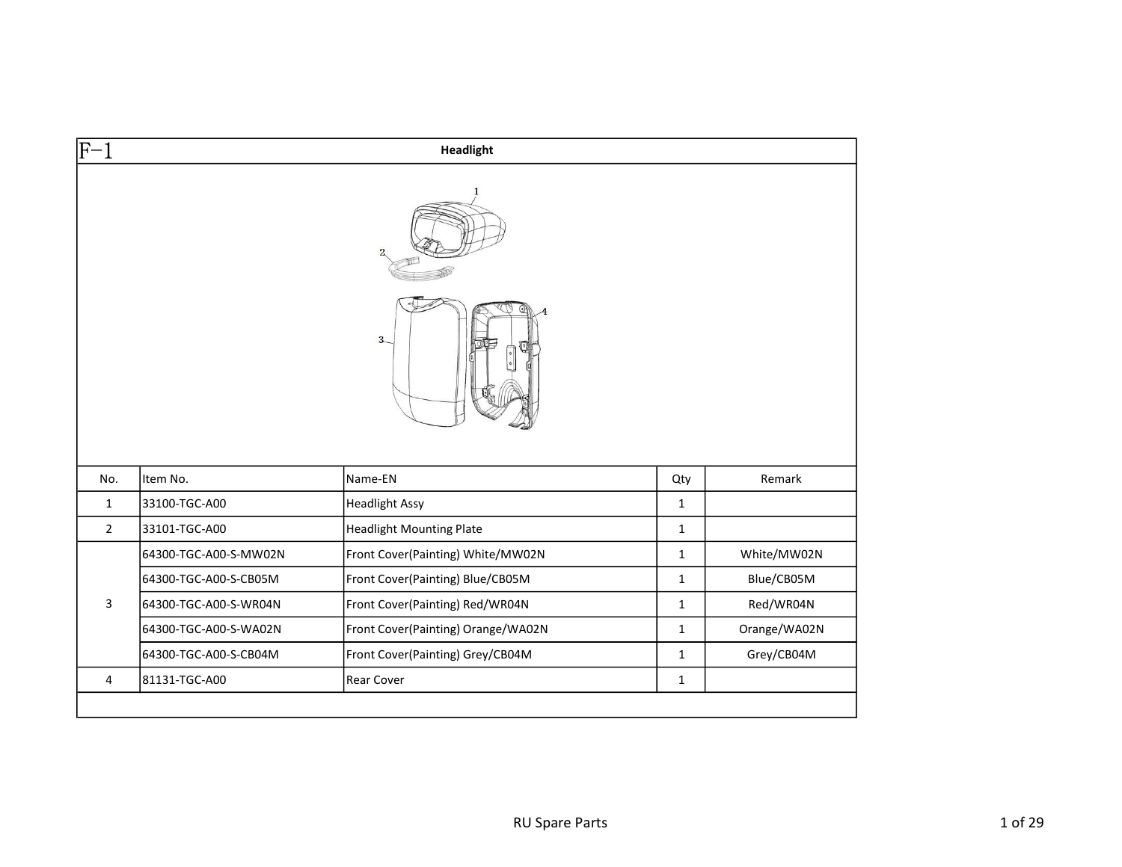| $ F-1 $        |                       | Headlight                          |              |              |
|----------------|-----------------------|------------------------------------|--------------|--------------|
|                |                       |                                    |              |              |
|                |                       | $3 -$                              |              |              |
|                |                       |                                    |              |              |
| No.            | Item No.              | Name-EN                            | Qty          | Remark       |
| $\mathbf{1}$   | 33100-TGC-A00         | <b>Headlight Assy</b>              | $\mathbf{1}$ |              |
| $\overline{2}$ | 33101-TGC-A00         | <b>Headlight Mounting Plate</b>    | $\mathbf{1}$ |              |
|                | 64300-TGC-A00-S-MW02N | Front Cover(Painting) White/MW02N  | $\mathbf{1}$ | White/MW02N  |
|                | 64300-TGC-A00-S-CB05M | Front Cover(Painting) Blue/CB05M   | $\mathbf{1}$ | Blue/CB05M   |
| $\mathbf{3}$   | 64300-TGC-A00-S-WR04N | Front Cover(Painting) Red/WR04N    | $\mathbf{1}$ | Red/WR04N    |
|                | 64300-TGC-A00-S-WA02N | Front Cover(Painting) Orange/WA02N | $\mathbf{1}$ | Orange/WA02N |
|                | 64300-TGC-A00-S-CB04M | Front Cover(Painting) Grey/CB04M   | $\mathbf{1}$ | Grey/CB04M   |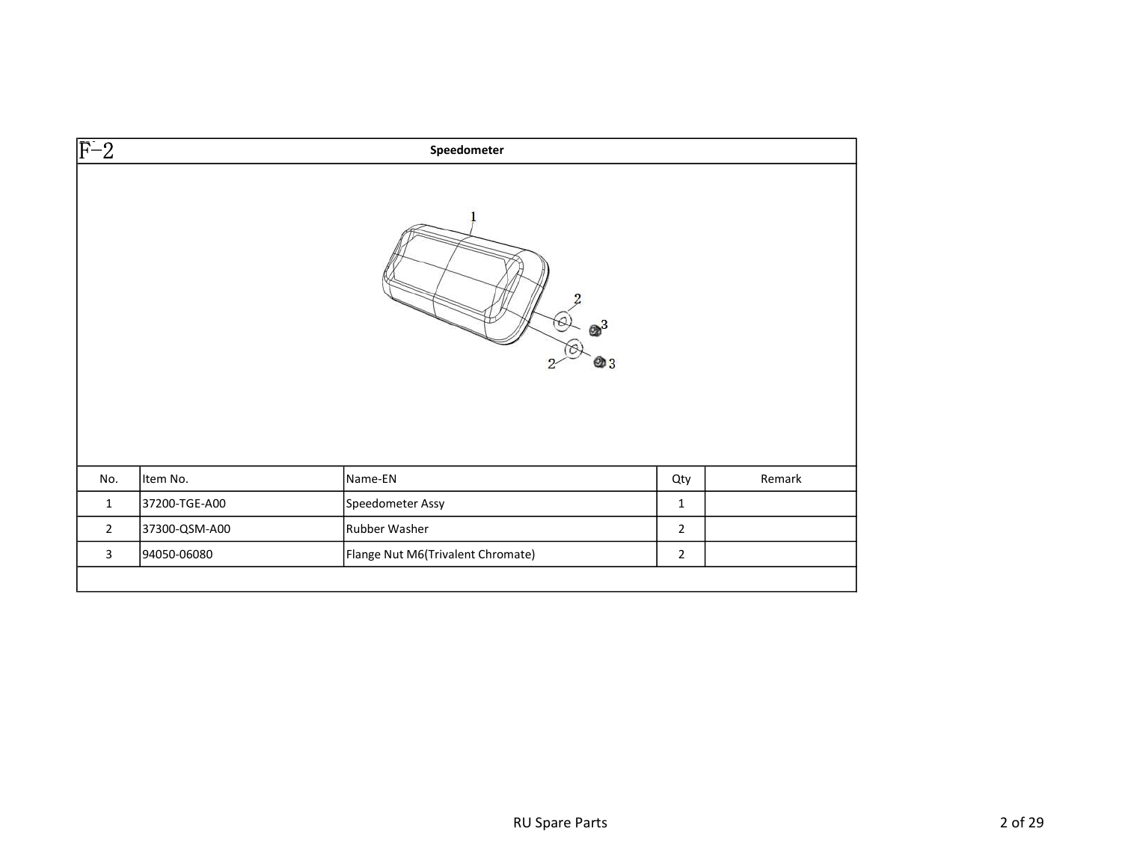| $\circ$<br>@ 3<br>Item No.<br>Name-EN<br>No.<br>Qty<br>37200-TGE-A00<br>Speedometer Assy<br>$\mathbf{1}$<br>$\mathbf{1}$<br>$\overline{2}$<br>$\overline{2}$<br>37300-QSM-A00<br>Rubber Washer | $\overline{F-2}$ |             | Speedometer                       |                |        |
|------------------------------------------------------------------------------------------------------------------------------------------------------------------------------------------------|------------------|-------------|-----------------------------------|----------------|--------|
|                                                                                                                                                                                                |                  |             |                                   |                |        |
|                                                                                                                                                                                                |                  |             |                                   |                | Remark |
|                                                                                                                                                                                                |                  |             |                                   |                |        |
|                                                                                                                                                                                                |                  |             |                                   |                |        |
|                                                                                                                                                                                                | $\mathbf{3}$     | 94050-06080 | Flange Nut M6(Trivalent Chromate) | $\overline{2}$ |        |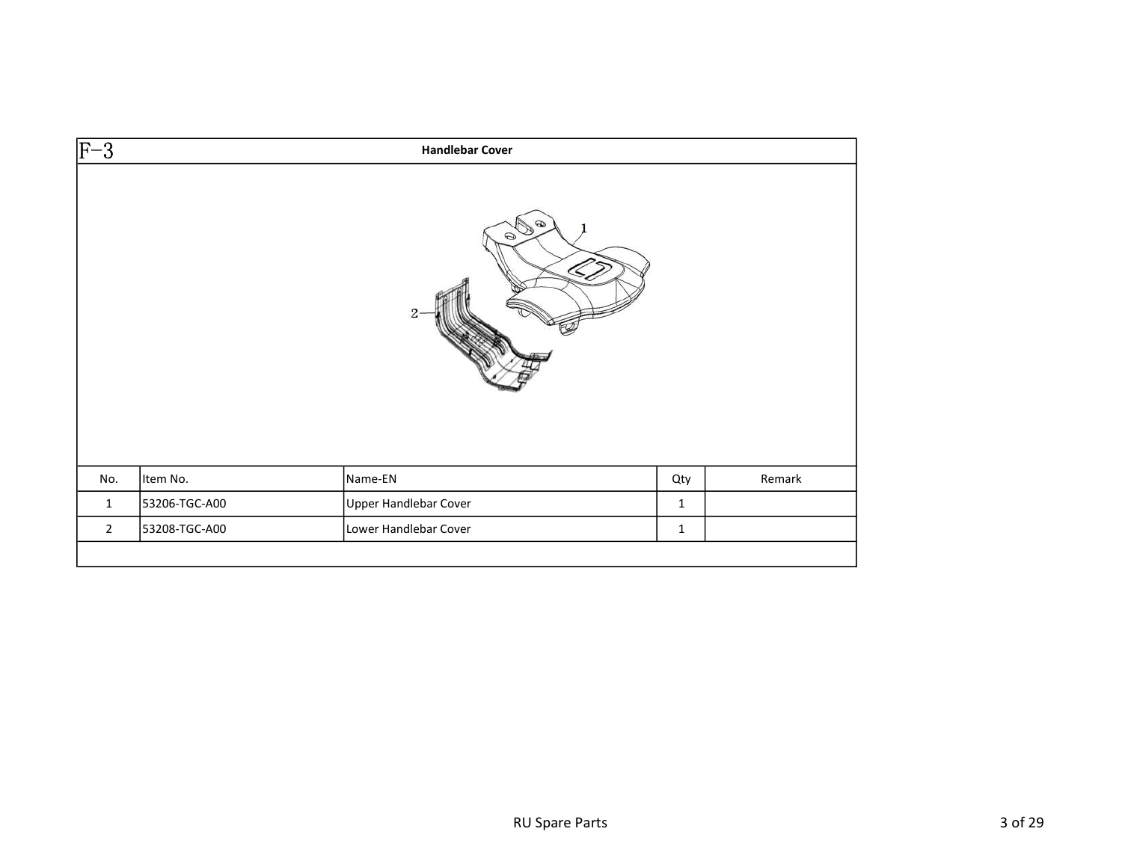| $\overline{F-3}$ |               | <b>Handlebar Cover</b>                   |              |        |
|------------------|---------------|------------------------------------------|--------------|--------|
|                  |               | Ø<br>$\odot$<br>$\mathcal{S}_{\epsilon}$ |              |        |
|                  |               |                                          |              |        |
| No.              | Item No.      | Name-EN                                  | Qty          | Remark |
| $\mathbf{1}$     | 53206-TGC-A00 | Upper Handlebar Cover                    | $\mathbf{1}$ |        |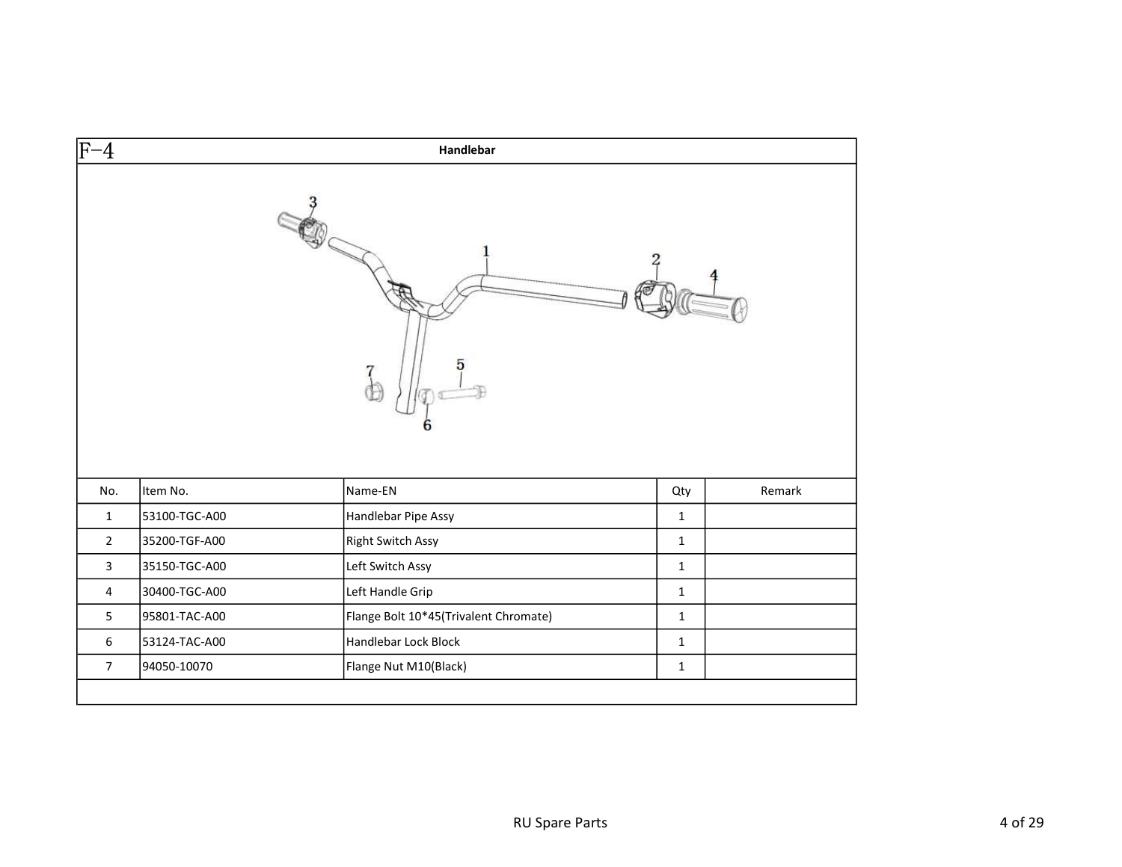| $\overline{F-4}$ | Handlebar     |                                       |              |        |  |
|------------------|---------------|---------------------------------------|--------------|--------|--|
|                  |               | 5                                     |              |        |  |
| No.              | Item No.      | Name-EN                               | Qty          | Remark |  |
| $\mathbf{1}$     | 53100-TGC-A00 | Handlebar Pipe Assy                   | $\mathbf{1}$ |        |  |
| $\overline{2}$   | 35200-TGF-A00 | <b>Right Switch Assy</b>              | $\mathbf{1}$ |        |  |
| 3                | 35150-TGC-A00 | Left Switch Assy                      | $\mathbf{1}$ |        |  |
| 4                | 30400-TGC-A00 | Left Handle Grip                      | $\mathbf{1}$ |        |  |
| 5                | 95801-TAC-A00 | Flange Bolt 10*45(Trivalent Chromate) | $\mathbf{1}$ |        |  |
| 6                | 53124-TAC-A00 | Handlebar Lock Block                  | $\mathbf{1}$ |        |  |
| $\overline{7}$   | 94050-10070   | Flange Nut M10(Black)                 | $\mathbf{1}$ |        |  |
|                  |               |                                       |              |        |  |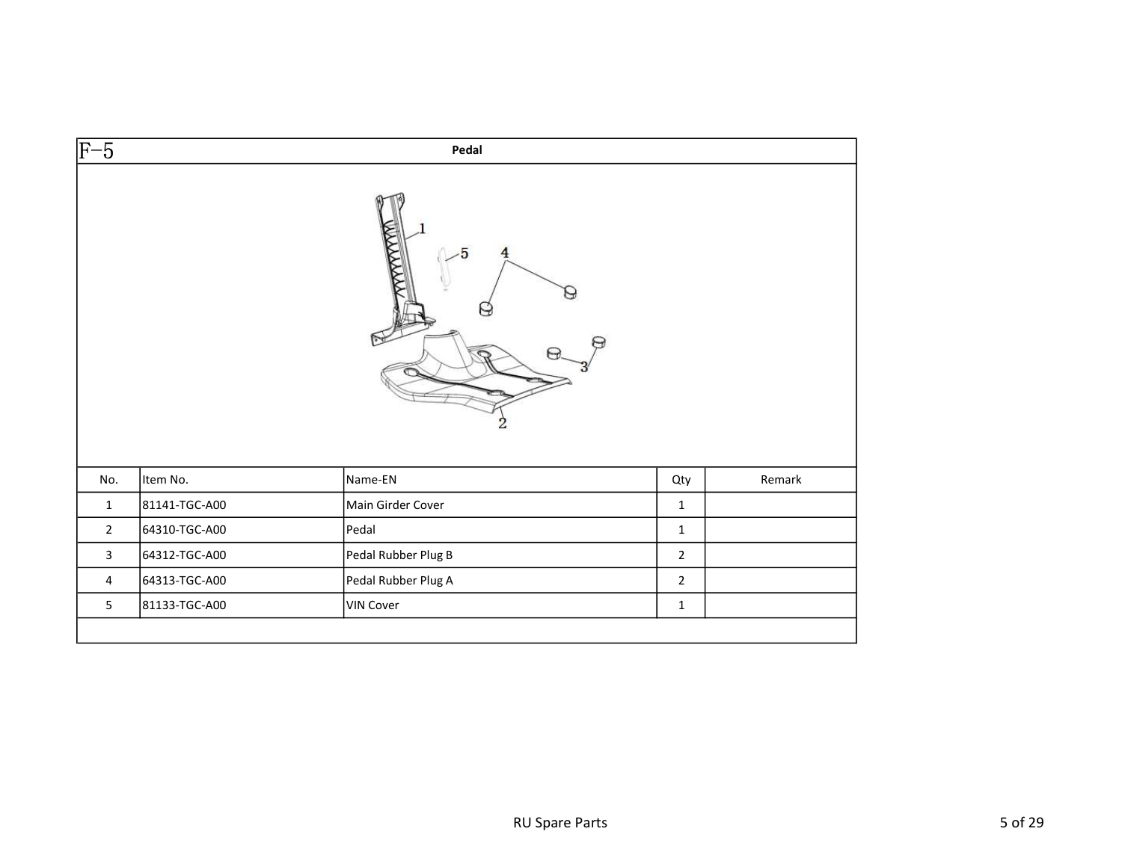| $\overline{F-5}$ |               | Pedal                                          |                |        |
|------------------|---------------|------------------------------------------------|----------------|--------|
|                  |               | <b>WANAW</b><br>5<br>$\overline{4}$<br>⊢⊋<br>2 |                |        |
| No.              | Item No.      | Name-EN                                        | Qty            | Remark |
| $\mathbf{1}$     | 81141-TGC-A00 | Main Girder Cover                              | $\mathbf 1$    |        |
| $2^{\circ}$      | 64310-TGC-A00 | Pedal                                          | $\mathbf 1$    |        |
| $\mathbf{3}$     | 64312-TGC-A00 | Pedal Rubber Plug B                            | $\overline{2}$ |        |
| 4                | 64313-TGC-A00 | Pedal Rubber Plug A                            | $\overline{2}$ |        |
| 5                | 81133-TGC-A00 | <b>VIN Cover</b>                               | $\mathbf 1$    |        |
|                  |               |                                                |                |        |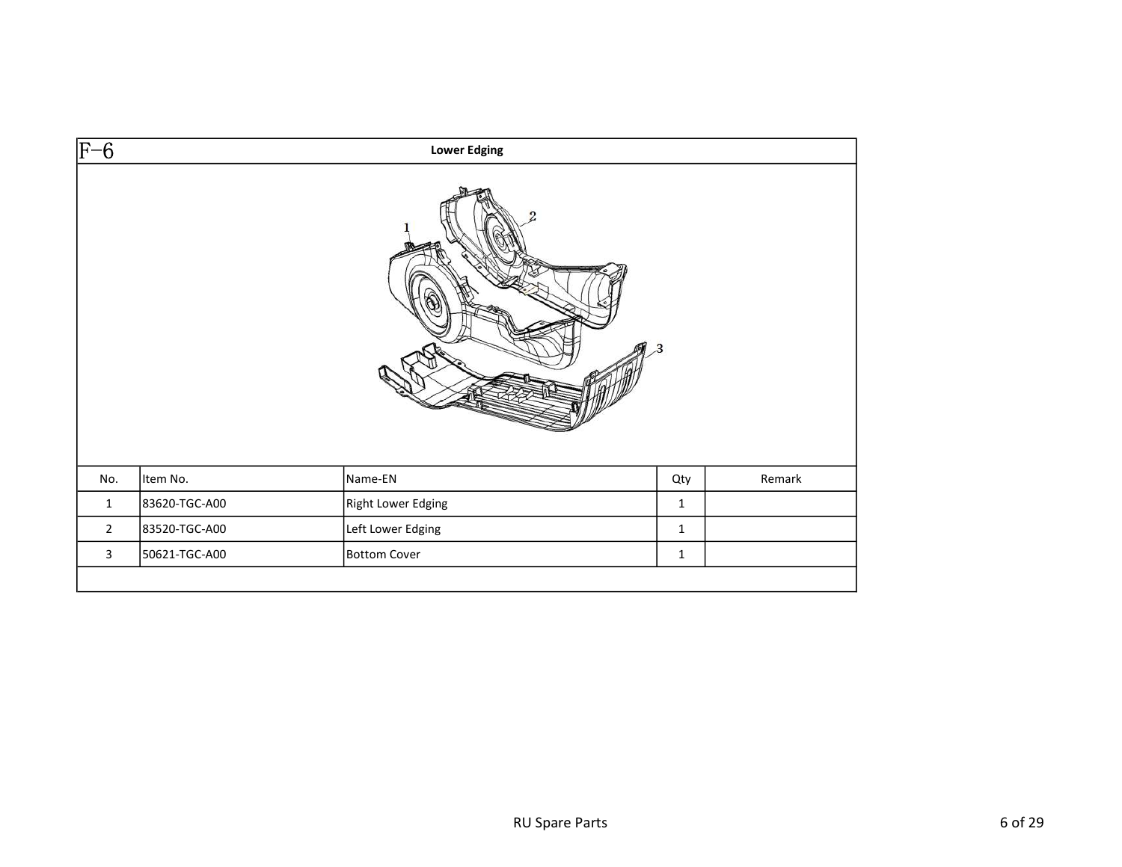| $\overline{F-6}$ |               | <b>Lower Edging</b> |              |        |
|------------------|---------------|---------------------|--------------|--------|
|                  |               |                     | $\mathbf{R}$ |        |
| No.              | Item No.      | Name-EN             | Qty          | Remark |
| $\mathbf{1}$     | 83620-TGC-A00 | Right Lower Edging  | $\mathbf{1}$ |        |
| $\overline{2}$   | 83520-TGC-A00 | Left Lower Edging   | $\mathbf 1$  |        |
| $\mathbf{3}$     | 50621-TGC-A00 | Bottom Cover        | $\mathbf 1$  |        |
|                  |               |                     |              |        |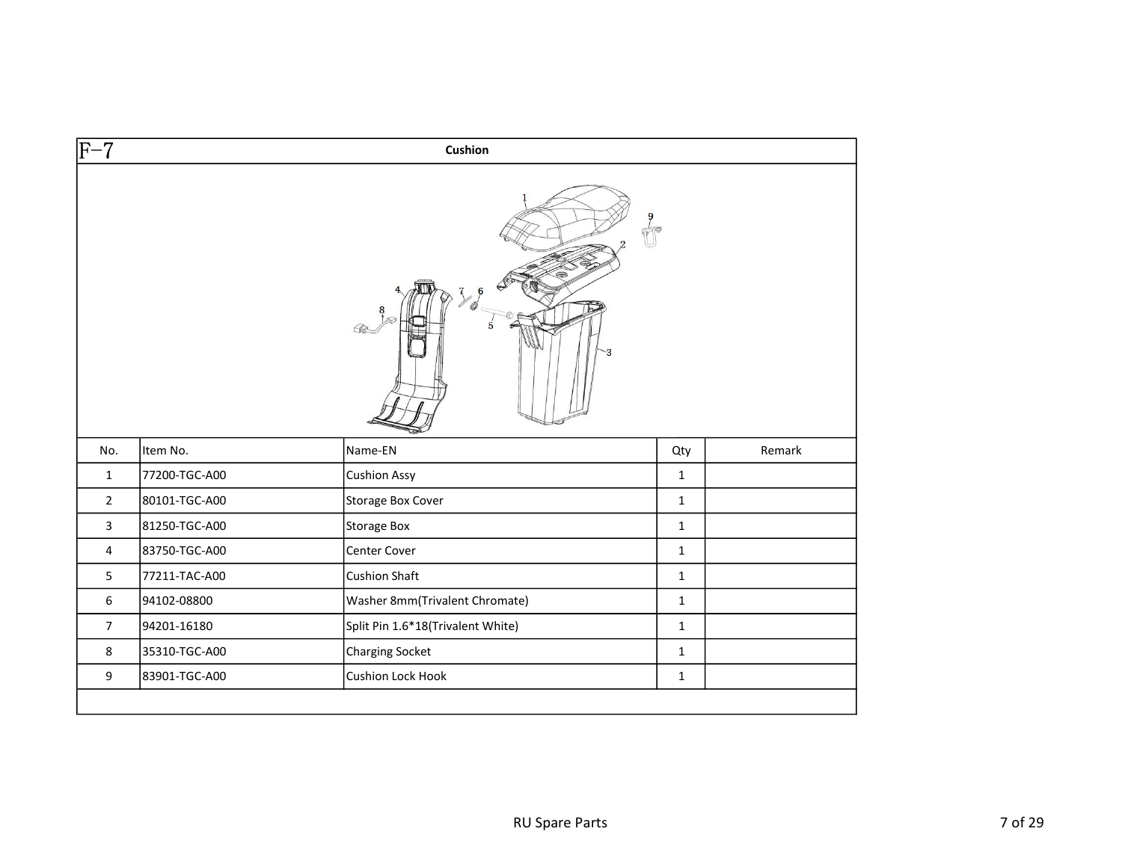| $\overline{F-7}$ |               | Cushion                           |              |        |
|------------------|---------------|-----------------------------------|--------------|--------|
|                  |               | $\mathbb{T}$                      |              |        |
| No.              | Item No.      | Name-EN                           | Qty          | Remark |
| $\mathbf{1}$     | 77200-TGC-A00 | <b>Cushion Assy</b>               | $\mathbf{1}$ |        |
| $\overline{2}$   | 80101-TGC-A00 | Storage Box Cover                 | $\mathbf{1}$ |        |
| $\mathbf{3}$     | 81250-TGC-A00 | <b>Storage Box</b>                | $\mathbf{1}$ |        |
| $\overline{4}$   | 83750-TGC-A00 | Center Cover                      | $\mathbf{1}$ |        |
| 5                | 77211-TAC-A00 | <b>Cushion Shaft</b>              | $\mathbf{1}$ |        |
| $\sqrt{6}$       | 94102-08800   | Washer 8mm(Trivalent Chromate)    | $\mathbf{1}$ |        |
| $\overline{7}$   | 94201-16180   | Split Pin 1.6*18(Trivalent White) | $\mathbf{1}$ |        |
| 8                | 35310-TGC-A00 | <b>Charging Socket</b>            | $\mathbf{1}$ |        |
| 9                | 83901-TGC-A00 | Cushion Lock Hook                 | $\mathbf 1$  |        |
|                  |               |                                   |              |        |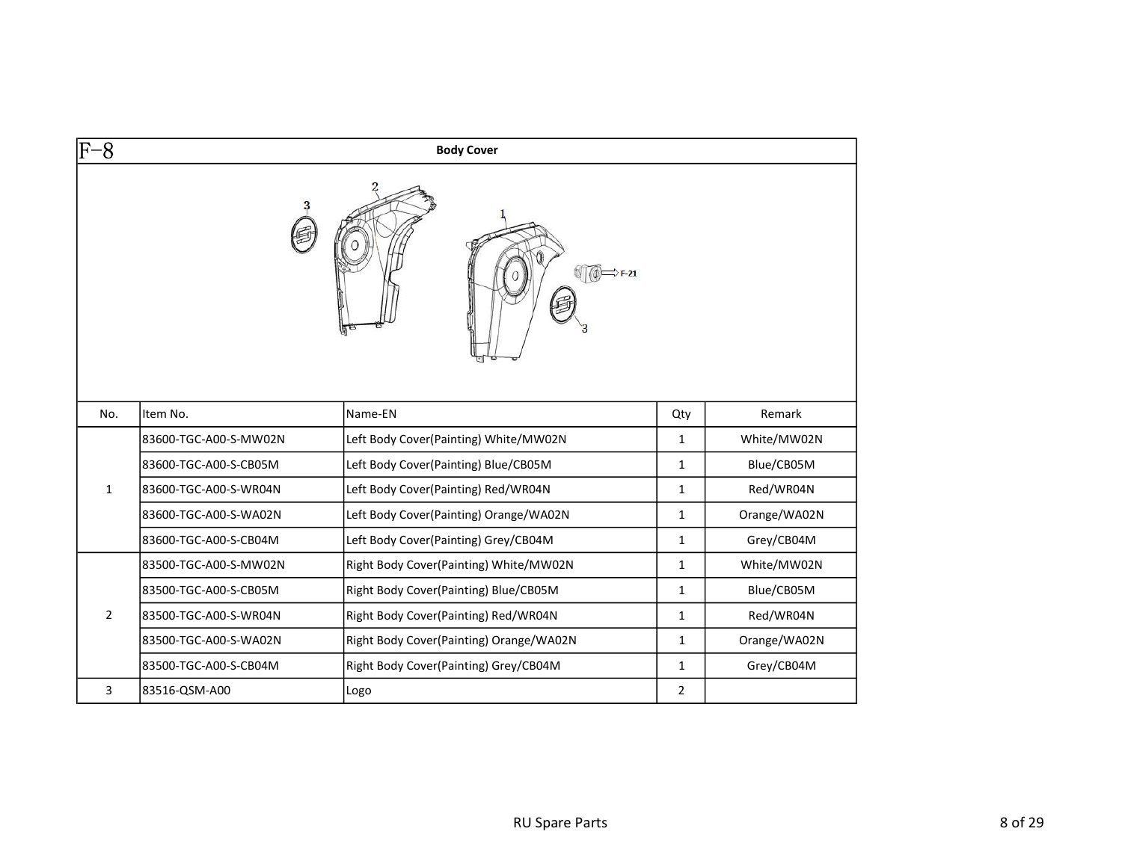| -8             |                       | <b>Body Cover</b>                       |                |              |
|----------------|-----------------------|-----------------------------------------|----------------|--------------|
|                |                       | $\rightarrow$ F-21                      |                |              |
| No.            | Item No.              | Name-EN                                 | Qty            | Remark       |
|                | 83600-TGC-A00-S-MW02N | Left Body Cover(Painting) White/MW02N   | $\mathbf{1}$   | White/MW02N  |
|                | 83600-TGC-A00-S-CB05M | Left Body Cover(Painting) Blue/CB05M    | $\mathbf{1}$   | Blue/CB05M   |
| 1              | 83600-TGC-A00-S-WR04N | Left Body Cover(Painting) Red/WR04N     | $\mathbf{1}$   | Red/WR04N    |
|                | 83600-TGC-A00-S-WA02N | Left Body Cover(Painting) Orange/WA02N  | $\mathbf{1}$   | Orange/WA02N |
|                | 83600-TGC-A00-S-CB04M | Left Body Cover(Painting) Grey/CB04M    | $\mathbf{1}$   | Grey/CB04M   |
|                | 83500-TGC-A00-S-MW02N | Right Body Cover(Painting) White/MW02N  | $\mathbf{1}$   | White/MW02N  |
|                | 83500-TGC-A00-S-CB05M | Right Body Cover(Painting) Blue/CB05M   | $\mathbf{1}$   | Blue/CB05M   |
| $\overline{2}$ | 83500-TGC-A00-S-WR04N | Right Body Cover(Painting) Red/WR04N    | $\mathbf{1}$   | Red/WR04N    |
|                | 83500-TGC-A00-S-WA02N | Right Body Cover(Painting) Orange/WA02N | 1              | Orange/WA02N |
|                | 83500-TGC-A00-S-CB04M | Right Body Cover(Painting) Grey/CB04M   | $\mathbf{1}$   | Grey/CB04M   |
| 3              | 83516-QSM-A00         | Logo                                    | $\overline{2}$ |              |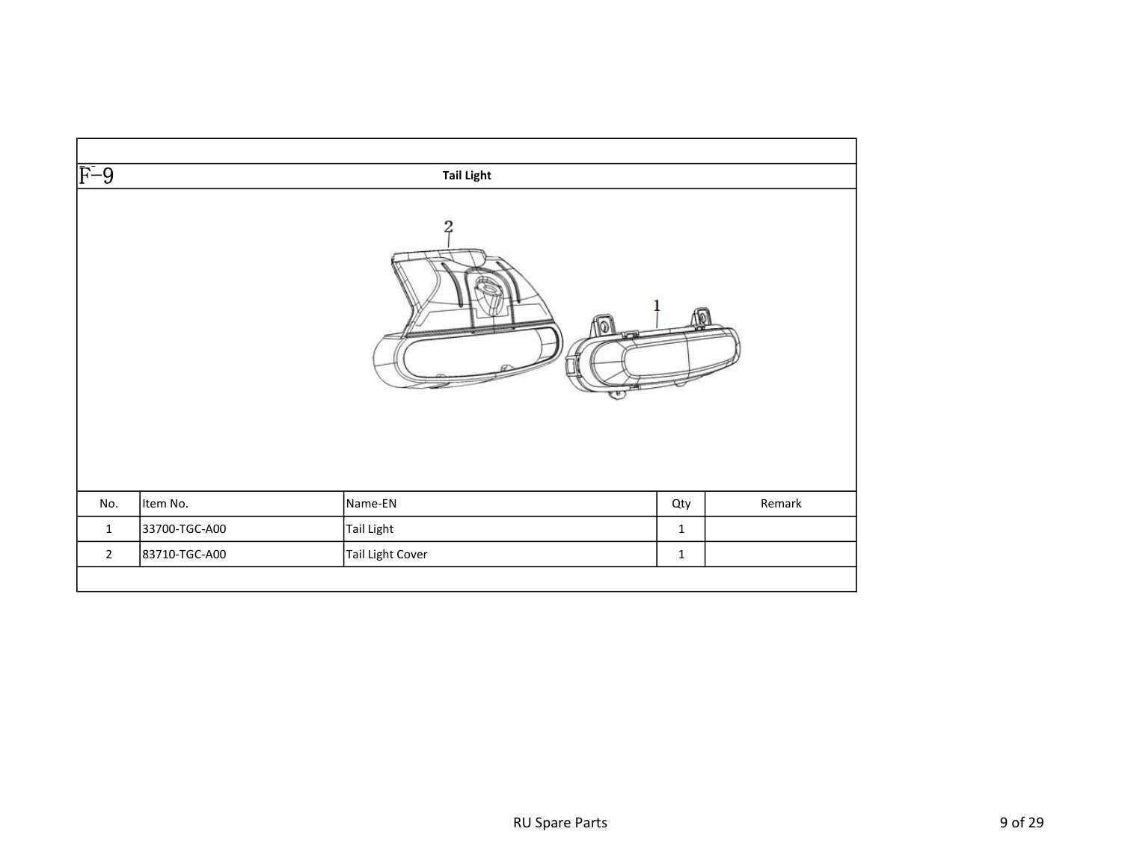| $\overline{F-9}$ |               | <b>Tail Light</b>                             |              |        |
|------------------|---------------|-----------------------------------------------|--------------|--------|
|                  |               | $\overline{c}$<br>$\mathbb{Z}$<br><b>LATE</b> |              |        |
| No.              | Item No.      | Name-EN                                       | Qty          | Remark |
| $\mathbf{1}$     | 33700-TGC-A00 | Tail Light                                    | $\mathbf 1$  |        |
| $\overline{2}$   | 83710-TGC-A00 | Tail Light Cover                              | $\mathbf{1}$ |        |
|                  |               |                                               |              |        |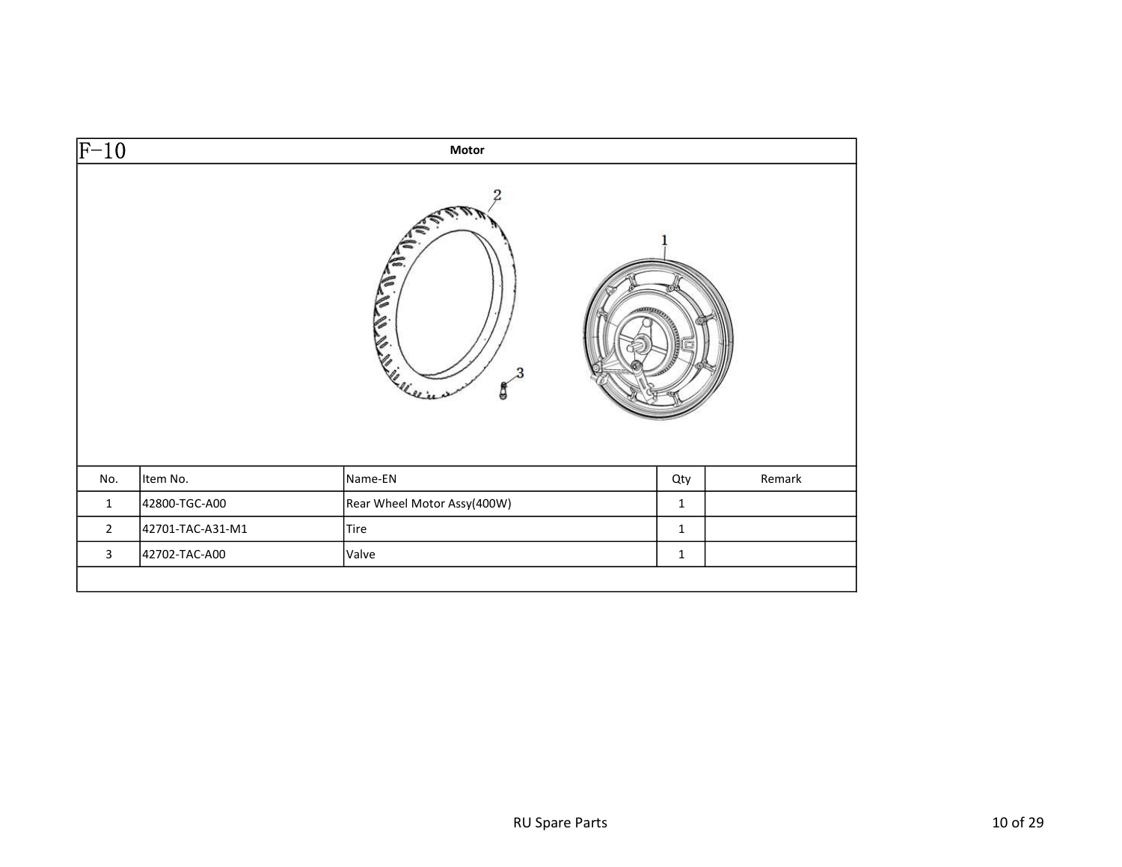| $\overline{F-10}$ |                  | Motor                                   |                   |        |
|-------------------|------------------|-----------------------------------------|-------------------|--------|
|                   |                  | 2<br>$\mathbf{r}$<br>ê<br>LE LIVER<br>g | <b>CONTRACTOR</b> |        |
| No.               | Item No.         | Name-EN                                 | Qty               | Remark |
| $\mathbf 1$       | 42800-TGC-A00    | Rear Wheel Motor Assy(400W)             | $\mathbf 1$       |        |
| $\overline{2}$    | 42701-TAC-A31-M1 | Tire                                    | $\mathbf 1$       |        |
| $\mathbf{3}$      | 42702-TAC-A00    | Valve                                   | $\mathbf 1$       |        |
|                   |                  |                                         |                   |        |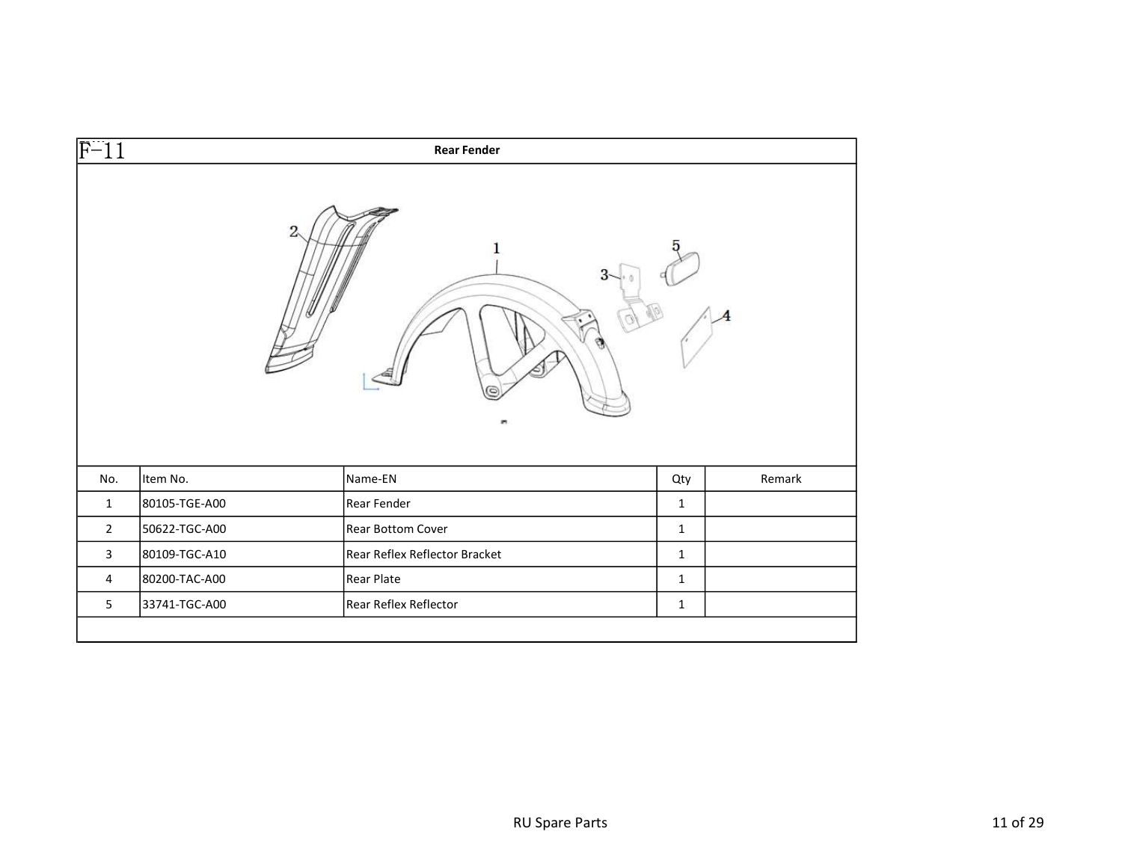| $\overline{F-11}$       |               | <b>Rear Fender</b>            |              |        |
|-------------------------|---------------|-------------------------------|--------------|--------|
|                         |               | 2                             |              |        |
|                         |               |                               |              |        |
| No.                     | Item No.      | Name-EN                       | Qty          | Remark |
| $\mathbf{1}$            | 80105-TGE-A00 | Rear Fender                   | $\mathbf{1}$ |        |
| $\overline{2}$          | 50622-TGC-A00 | Rear Bottom Cover             | $\mathbf{1}$ |        |
| $\overline{\mathbf{3}}$ | 80109-TGC-A10 | Rear Reflex Reflector Bracket | $\mathbf{1}$ |        |
| $\overline{4}$          | 80200-TAC-A00 | <b>Rear Plate</b>             | $\mathbf{1}$ |        |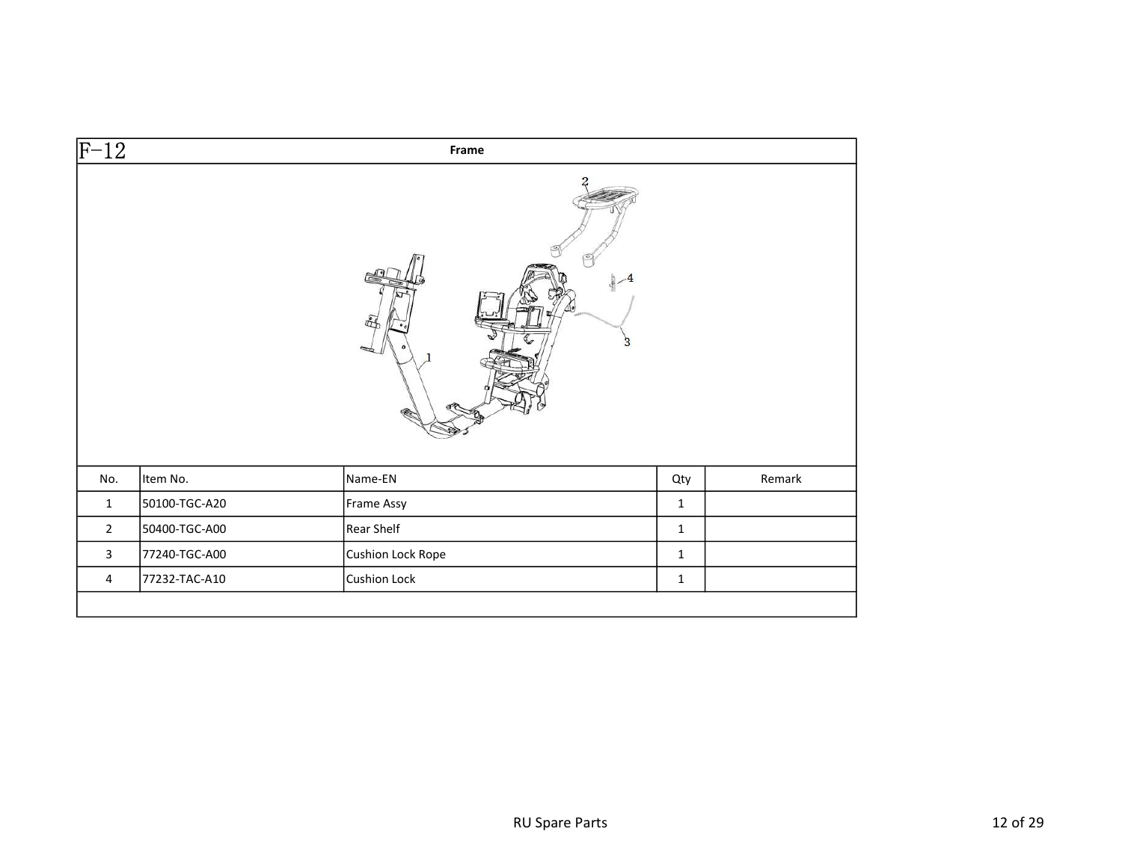| $\overline{F-12}$ |               | Frame                    |              |        |
|-------------------|---------------|--------------------------|--------------|--------|
|                   |               | 赶                        |              |        |
| No.               | Item No.      | Name-EN                  | Qty          | Remark |
| $\mathbf{1}$      | 50100-TGC-A20 | Frame Assy               | $\mathbf{1}$ |        |
| $\overline{2}$    | 50400-TGC-A00 | Rear Shelf               | $\mathbf{1}$ |        |
| $\mathbf{3}$      | 77240-TGC-A00 | <b>Cushion Lock Rope</b> | $\mathbf{1}$ |        |
| $\overline{4}$    | 77232-TAC-A10 | <b>Cushion Lock</b>      | $\mathbf 1$  |        |
|                   |               |                          |              |        |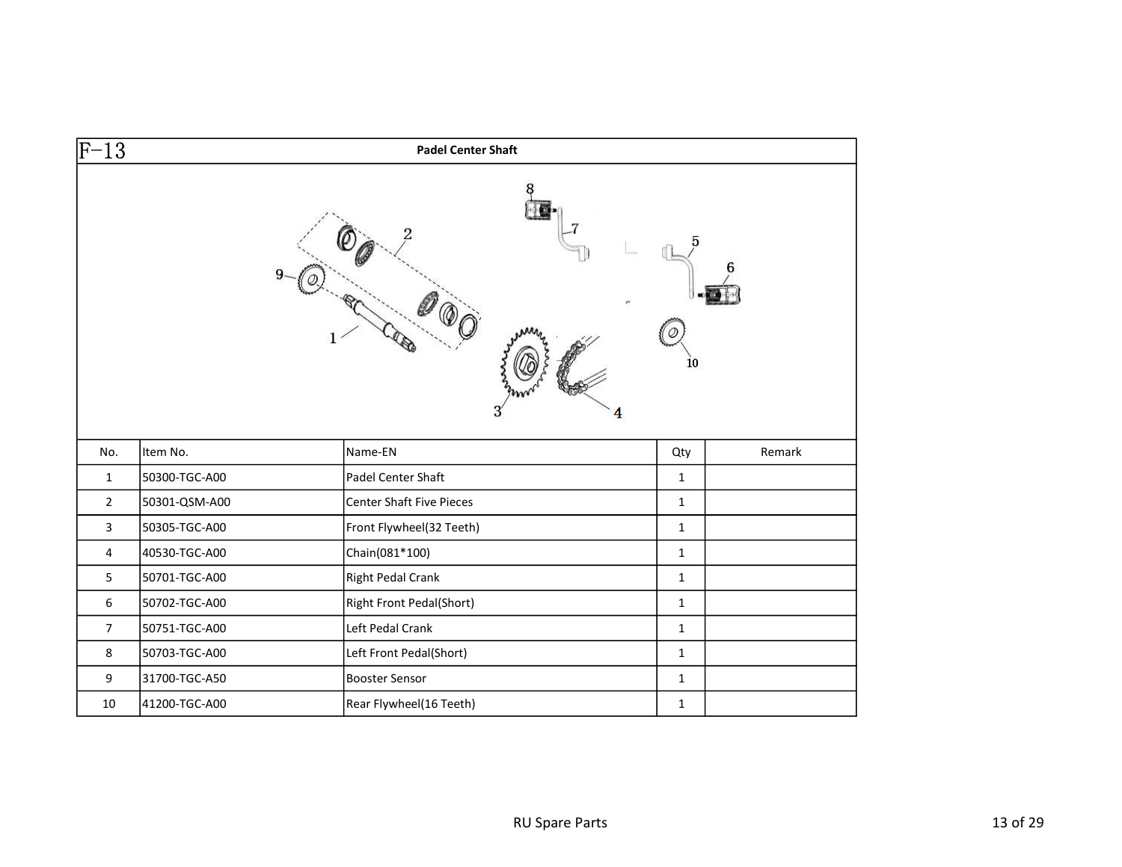| $\overline{F-13}$ |               | <b>Padel Center Shaft</b> |              |        |
|-------------------|---------------|---------------------------|--------------|--------|
|                   |               | 4                         | 10           |        |
| No.               | Item No.      | Name-EN                   | Qty          | Remark |
| $\mathbf{1}$      | 50300-TGC-A00 | Padel Center Shaft        | $\mathbf{1}$ |        |
| $\overline{2}$    | 50301-QSM-A00 | Center Shaft Five Pieces  | $\mathbf{1}$ |        |
| $\mathbf{3}$      | 50305-TGC-A00 | Front Flywheel(32 Teeth)  | $\mathbf{1}$ |        |
| $\overline{4}$    | 40530-TGC-A00 | Chain(081*100)            | $\mathbf{1}$ |        |
| 5                 | 50701-TGC-A00 | <b>Right Pedal Crank</b>  | $\mathbf{1}$ |        |
| 6                 | 50702-TGC-A00 | Right Front Pedal(Short)  | $\mathbf{1}$ |        |
| $\overline{7}$    | 50751-TGC-A00 | Left Pedal Crank          | $\mathbf{1}$ |        |
| 8                 | 50703-TGC-A00 | Left Front Pedal(Short)   | $\mathbf{1}$ |        |
| 9                 | 31700-TGC-A50 | <b>Booster Sensor</b>     | $\mathbf{1}$ |        |
| 10                | 41200-TGC-A00 | Rear Flywheel(16 Teeth)   | $\mathbf{1}$ |        |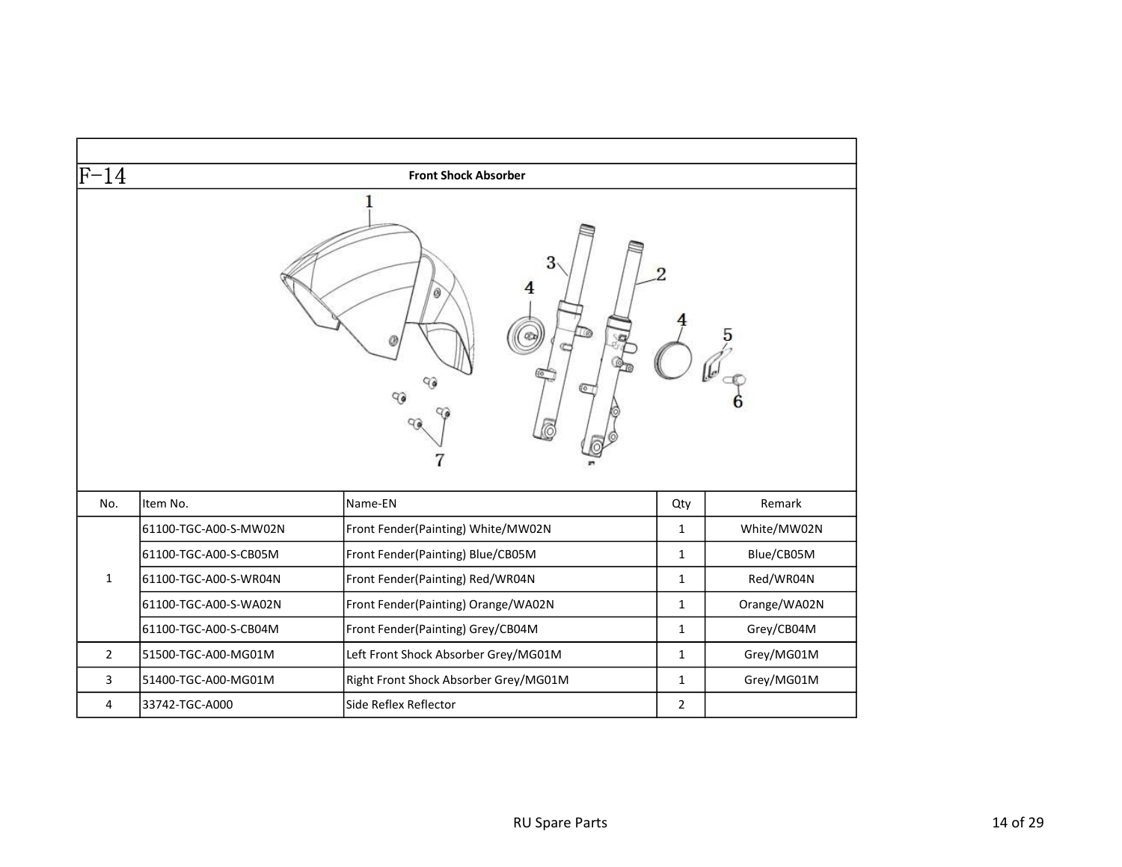| $\rm{F-14}$    |                       | <b>Front Shock Absorber</b>           |                |              |
|----------------|-----------------------|---------------------------------------|----------------|--------------|
|                |                       | 3<br>0<br>a<br>90<br>9                |                |              |
| No.            | Item No.              | Name-EN                               | Qty            | Remark       |
|                | 61100-TGC-A00-S-MW02N | Front Fender(Painting) White/MW02N    | $\mathbf{1}$   | White/MW02N  |
|                | 61100-TGC-A00-S-CB05M | Front Fender(Painting) Blue/CB05M     | $\mathbf{1}$   | Blue/CB05M   |
| $\mathbf{1}$   | 61100-TGC-A00-S-WR04N | Front Fender(Painting) Red/WR04N      | $\mathbf{1}$   | Red/WR04N    |
|                | 61100-TGC-A00-S-WA02N | Front Fender(Painting) Orange/WA02N   | $\mathbf{1}$   | Orange/WA02N |
|                | 61100-TGC-A00-S-CB04M | Front Fender(Painting) Grey/CB04M     | $\mathbf{1}$   | Grey/CB04M   |
| $\overline{2}$ | 51500-TGC-A00-MG01M   | Left Front Shock Absorber Grey/MG01M  | $\mathbf{1}$   | Grey/MG01M   |
| 3              | 51400-TGC-A00-MG01M   | Right Front Shock Absorber Grey/MG01M | $\mathbf{1}$   | Grey/MG01M   |
| 4              | 33742-TGC-A000        | Side Reflex Reflector                 | $\overline{2}$ |              |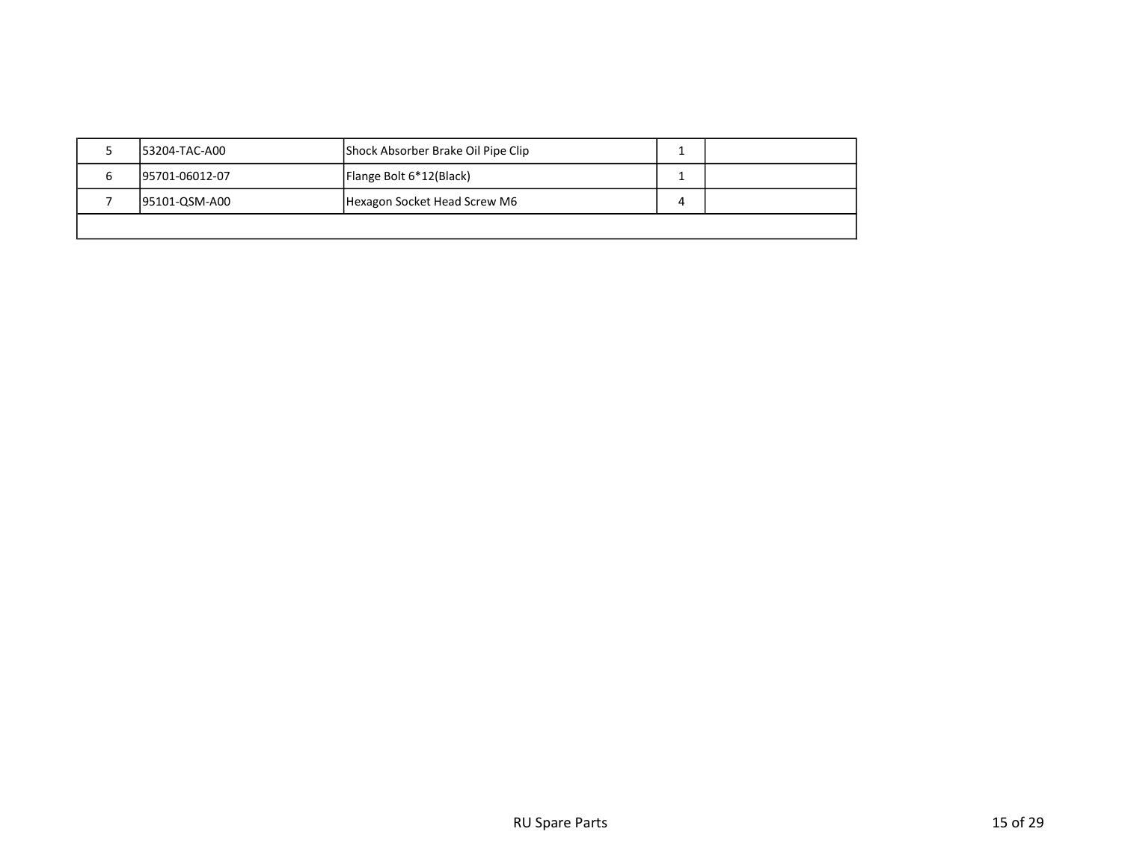| 153204-TAC-A00  | Shock Absorber Brake Oil Pipe Clip |   |  |
|-----------------|------------------------------------|---|--|
| 195701-06012-07 | Flange Bolt 6*12(Black)            |   |  |
| 95101-QSM-A00   | Hexagon Socket Head Screw M6       | 4 |  |
|                 |                                    |   |  |
|                 |                                    |   |  |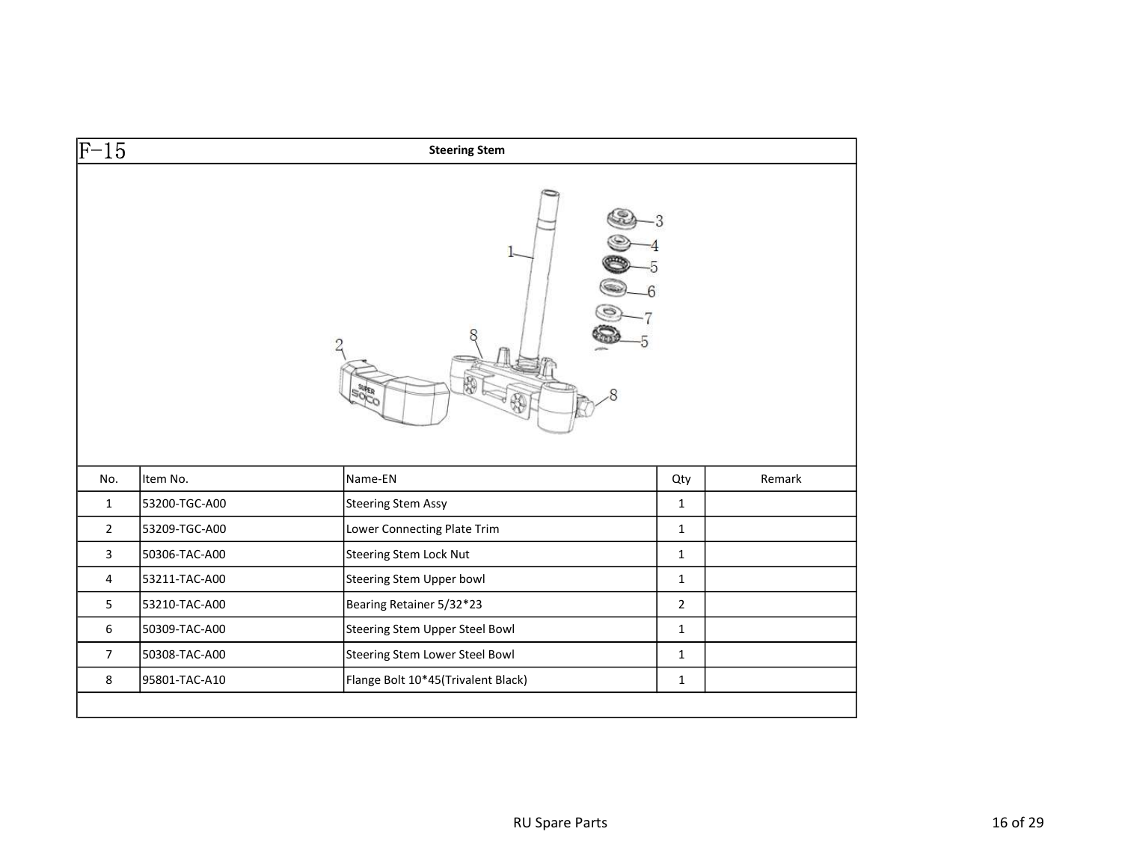| $F-15$         |               | <b>Steering Stem</b>           |                |        |
|----------------|---------------|--------------------------------|----------------|--------|
|                |               |                                |                |        |
|                |               |                                |                |        |
| No.            | Item No.      | Name-EN                        | Qty            | Remark |
| $\mathbf{1}$   | 53200-TGC-A00 | <b>Steering Stem Assy</b>      | $\mathbf{1}$   |        |
| $\overline{2}$ | 53209-TGC-A00 | Lower Connecting Plate Trim    | $\mathbf{1}$   |        |
| $\mathbf{3}$   | 50306-TAC-A00 | <b>Steering Stem Lock Nut</b>  | $\mathbf{1}$   |        |
| $\overline{4}$ | 53211-TAC-A00 | Steering Stem Upper bowl       | $\mathbf{1}$   |        |
| 5              | 53210-TAC-A00 | Bearing Retainer 5/32*23       | $\overline{2}$ |        |
| 6              | 50309-TAC-A00 | Steering Stem Upper Steel Bowl | $\mathbf{1}$   |        |
| $\overline{7}$ | 50308-TAC-A00 | Steering Stem Lower Steel Bowl | $\mathbf{1}$   |        |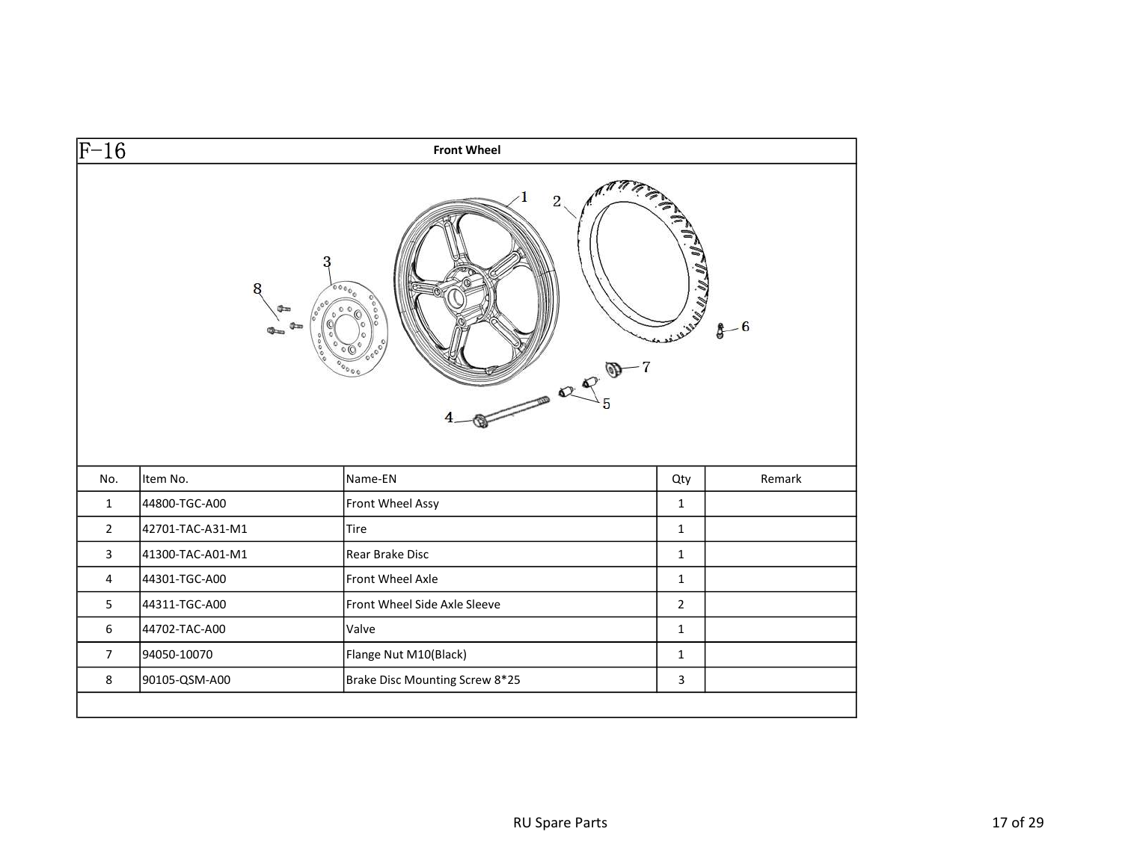| $ F-16\rangle$ |                  | <b>Front Wheel</b>                  |                |        |
|----------------|------------------|-------------------------------------|----------------|--------|
|                | 3                | $\overline{c}$<br>ره ۱۵<br>$\Omega$ |                |        |
| No.            | Item No.         | Name-EN                             | Qty            | Remark |
| $\mathbf{1}$   | 44800-TGC-A00    | Front Wheel Assy                    | $\mathbf{1}$   |        |
| $\overline{2}$ | 42701-TAC-A31-M1 | Tire                                | $\mathbf{1}$   |        |
| $\overline{3}$ | 41300-TAC-A01-M1 | Rear Brake Disc                     | $\mathbf{1}$   |        |
| $\overline{4}$ | 44301-TGC-A00    | Front Wheel Axle                    | $\mathbf{1}$   |        |
| 5              | 44311-TGC-A00    | Front Wheel Side Axle Sleeve        | $\overline{2}$ |        |
| 6              | 44702-TAC-A00    | Valve                               | $\mathbf{1}$   |        |
| $\overline{7}$ | 94050-10070      | Flange Nut M10(Black)               | $\mathbf{1}$   |        |
| 8              | 90105-QSM-A00    | Brake Disc Mounting Screw 8*25      | $\mathbf{3}$   |        |
|                |                  |                                     |                |        |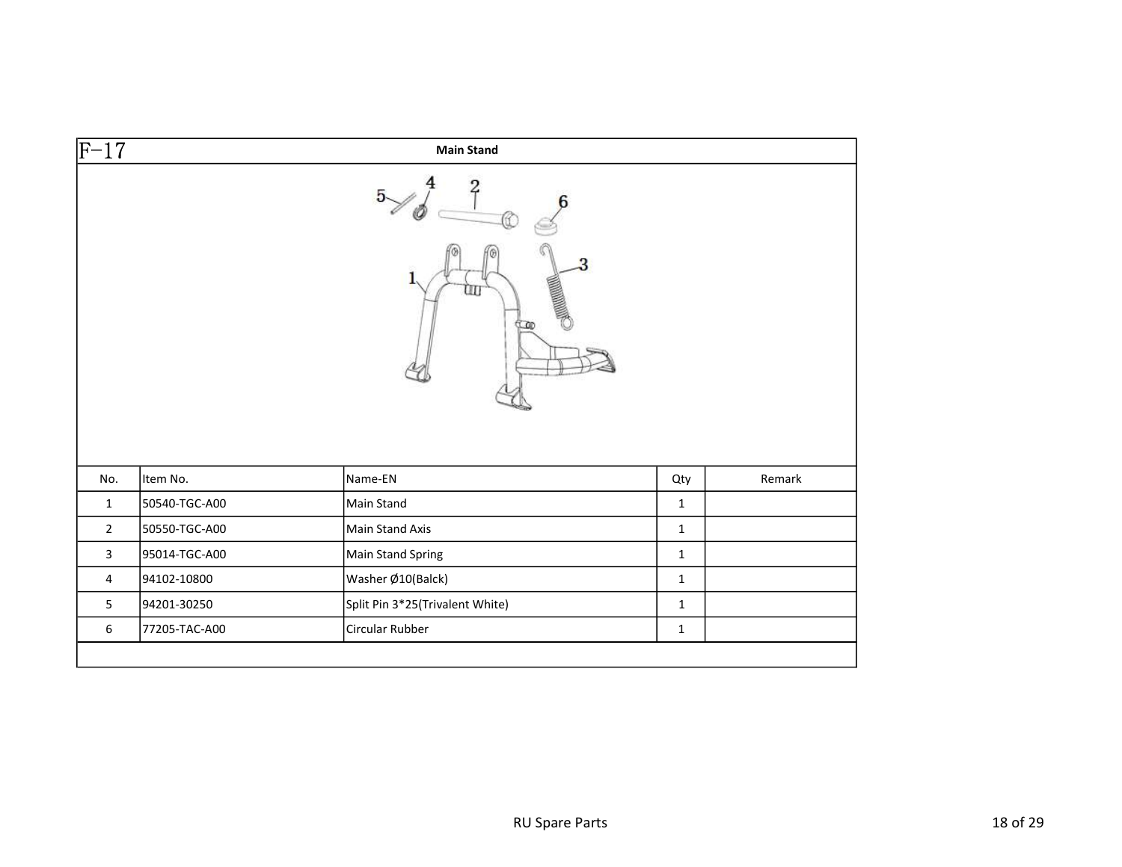| $\overline{F-17}$       |               | <b>Main Stand</b>               |              |        |
|-------------------------|---------------|---------------------------------|--------------|--------|
|                         |               | 2                               |              |        |
|                         |               | <b>SAMARING</b><br>ЩI           |              |        |
|                         |               |                                 |              |        |
| No.                     | Item No.      | Name-EN                         | Qty          | Remark |
| $\mathbf{1}$            | 50540-TGC-A00 | Main Stand                      | $\mathbf 1$  |        |
| $\overline{2}$          | 50550-TGC-A00 | Main Stand Axis                 | $\mathbf 1$  |        |
| $\overline{\mathbf{3}}$ | 95014-TGC-A00 | Main Stand Spring               | $\mathbf 1$  |        |
| $\overline{4}$          | 94102-10800   | Washer Ø10(Balck)               | $\mathbf 1$  |        |
| 5                       | 94201-30250   | Split Pin 3*25(Trivalent White) | $\mathbf{1}$ |        |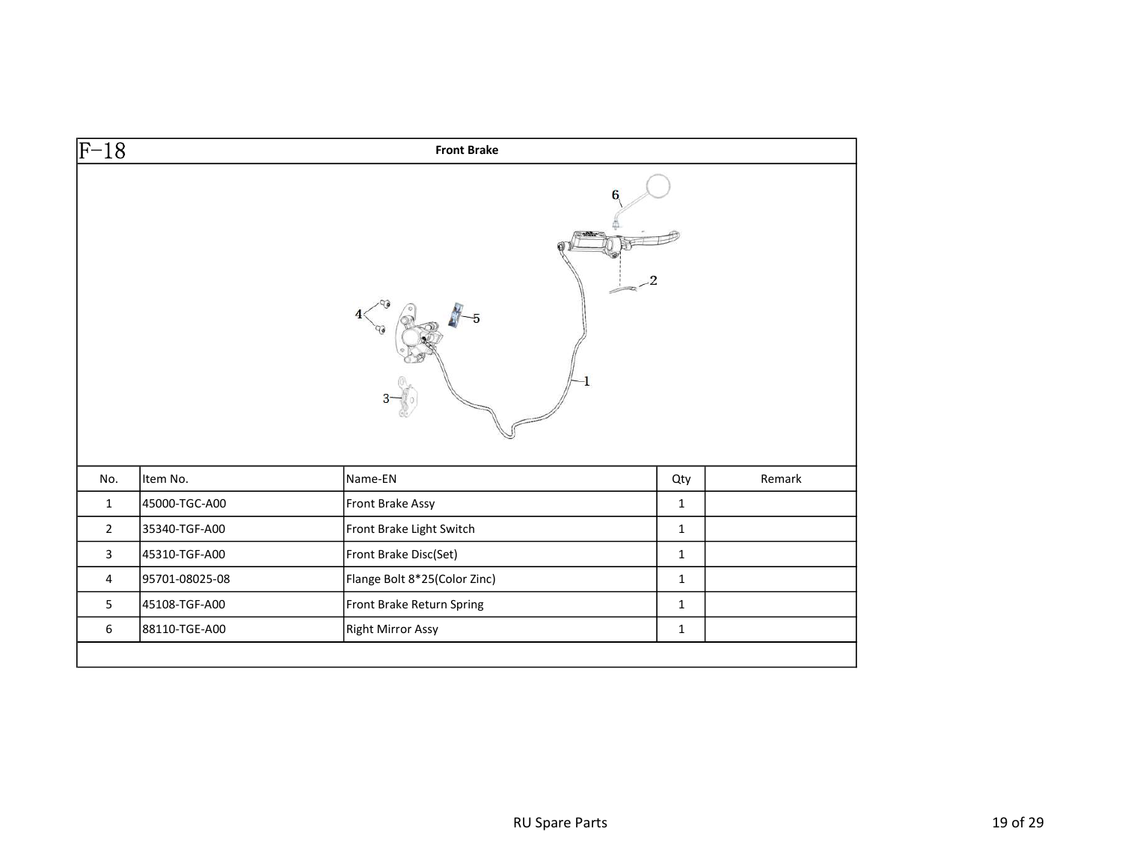| $\overline{F-18}$ |                | <b>Front Brake</b>           |              |        |
|-------------------|----------------|------------------------------|--------------|--------|
|                   |                |                              |              |        |
|                   |                |                              |              |        |
| No.               | Item No.       | Name-EN                      | Qty          | Remark |
| $\mathbf{1}$      | 45000-TGC-A00  | Front Brake Assy             | $\mathbf{1}$ |        |
| $\overline{2}$    | 35340-TGF-A00  | Front Brake Light Switch     | $\mathbf{1}$ |        |
| 3                 | 45310-TGF-A00  | Front Brake Disc(Set)        | $\mathbf{1}$ |        |
| $\overline{4}$    | 95701-08025-08 | Flange Bolt 8*25(Color Zinc) | $\mathbf{1}$ |        |
| 5                 | 45108-TGF-A00  | Front Brake Return Spring    | $\mathbf{1}$ |        |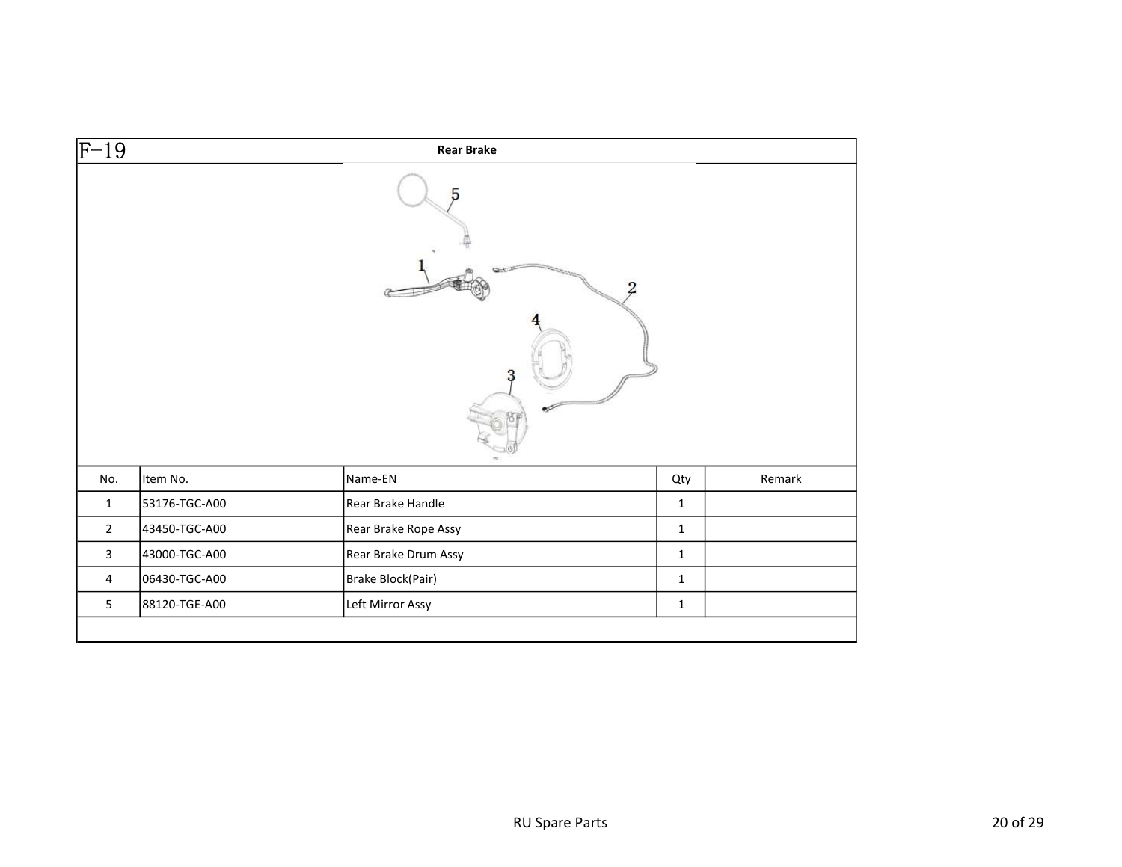| $\overline{F-19}$ |               | <b>Rear Brake</b>    |              |        |
|-------------------|---------------|----------------------|--------------|--------|
|                   |               |                      |              |        |
|                   |               |                      | $^{2}$       |        |
|                   |               |                      |              |        |
| No.               | Item No.      | Name-EN              | Qty          | Remark |
| $\mathbf{1}$      | 53176-TGC-A00 | Rear Brake Handle    | $\mathbf 1$  |        |
| $\overline{2}$    | 43450-TGC-A00 | Rear Brake Rope Assy | $\mathbf 1$  |        |
| $\mathbf{3}$      | 43000-TGC-A00 | Rear Brake Drum Assy | $\mathbf{1}$ |        |
| $\overline{4}$    | 06430-TGC-A00 | Brake Block(Pair)    | $\mathbf{1}$ |        |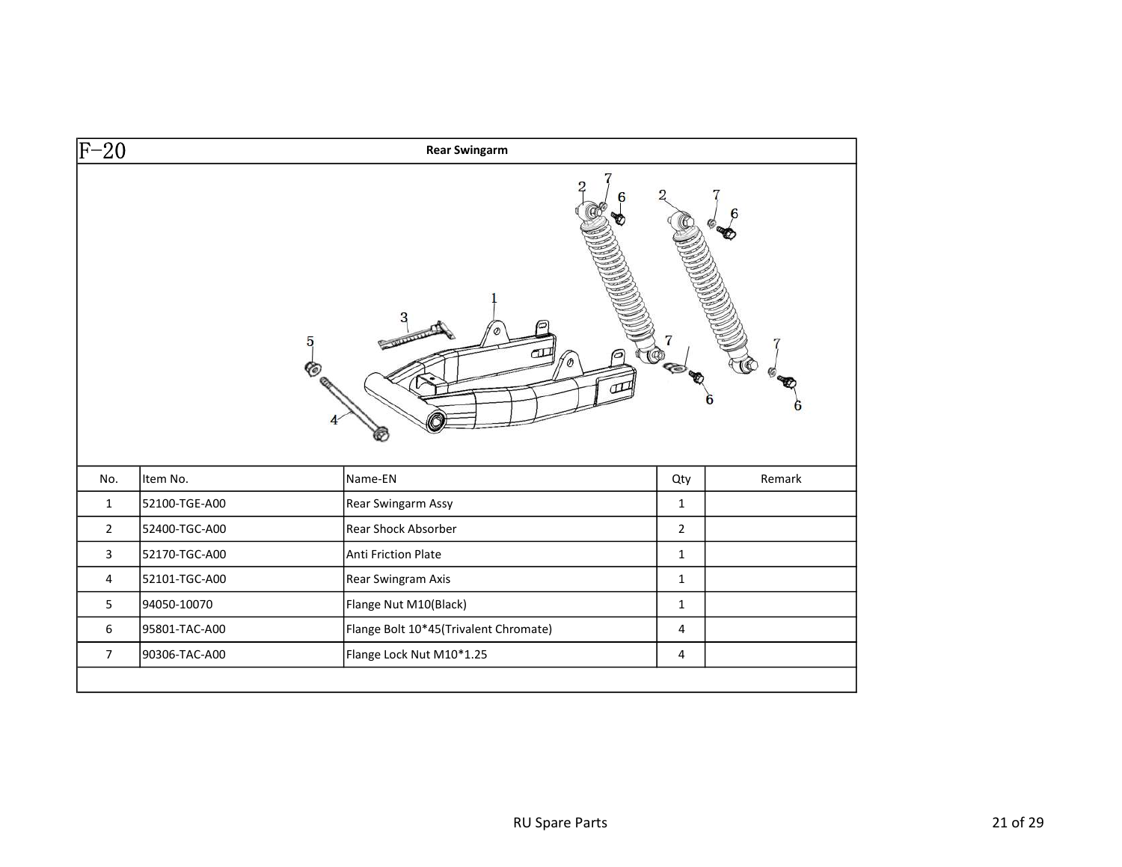| $F-20$         |               | <b>Rear Swingarm</b>                  |                |        |
|----------------|---------------|---------------------------------------|----------------|--------|
|                |               | 5<br>$\sim$                           | <b>CO</b>      |        |
|                |               |                                       |                |        |
| No.            | Item No.      | Name-EN                               | Qty            | Remark |
| $\mathbf{1}$   | 52100-TGE-A00 | Rear Swingarm Assy                    | $\mathbf{1}$   |        |
| $\overline{2}$ | 52400-TGC-A00 | Rear Shock Absorber                   | $\overline{2}$ |        |
| $\mathbf{3}$   | 52170-TGC-A00 | Anti Friction Plate                   | $\mathbf{1}$   |        |
| $\overline{4}$ | 52101-TGC-A00 | Rear Swingram Axis                    | $\mathbf{1}$   |        |
| 5              | 94050-10070   | Flange Nut M10(Black)                 | $\mathbf{1}$   |        |
| $\sqrt{6}$     | 95801-TAC-A00 | Flange Bolt 10*45(Trivalent Chromate) | $\overline{4}$ |        |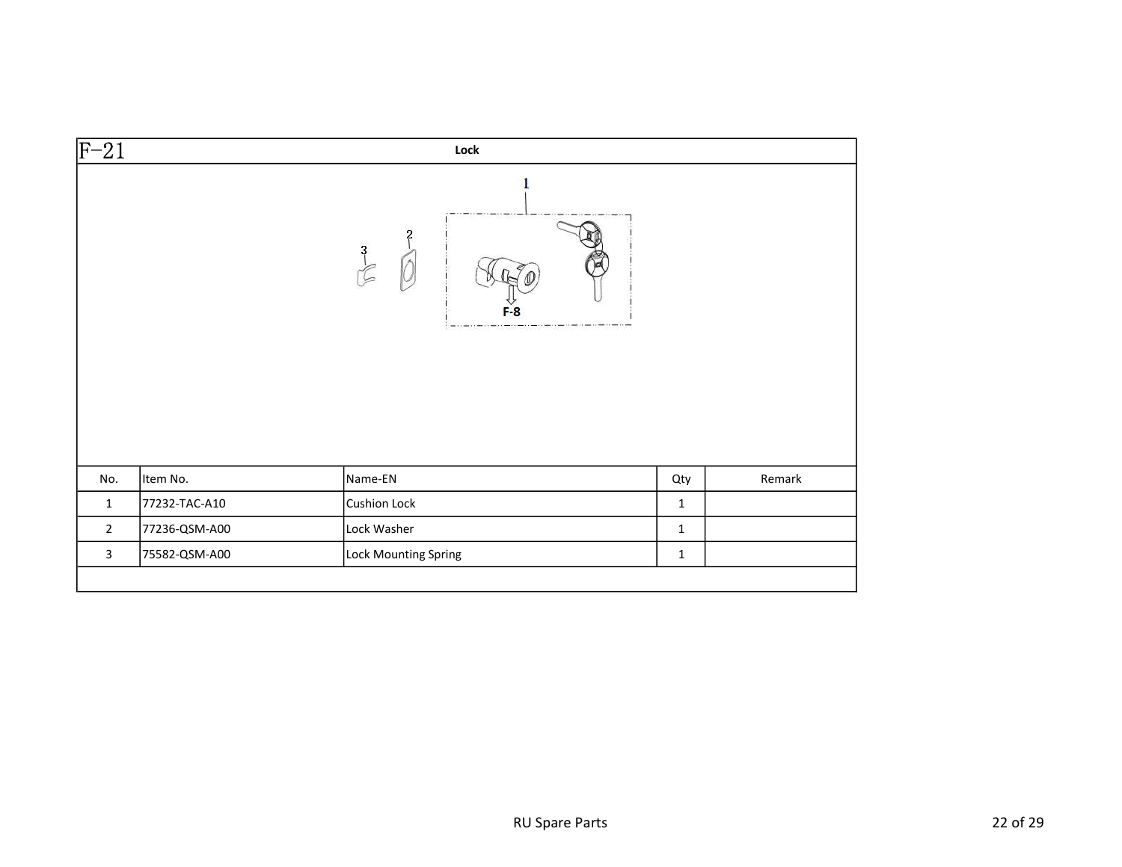| $\overline{F-21}$ |               | Lock                 |             |        |
|-------------------|---------------|----------------------|-------------|--------|
|                   |               | $\frac{3}{2}$        |             |        |
| No.               | Item No.      | Name-EN              | Qty         | Remark |
| $\mathbf 1$       | 77232-TAC-A10 | Cushion Lock         | $\mathbf 1$ |        |
| $\overline{2}$    | 77236-QSM-A00 | Lock Washer          | $\mathbf 1$ |        |
| $\mathbf{3}$      | 75582-QSM-A00 | Lock Mounting Spring | $\mathbf 1$ |        |
|                   |               |                      |             |        |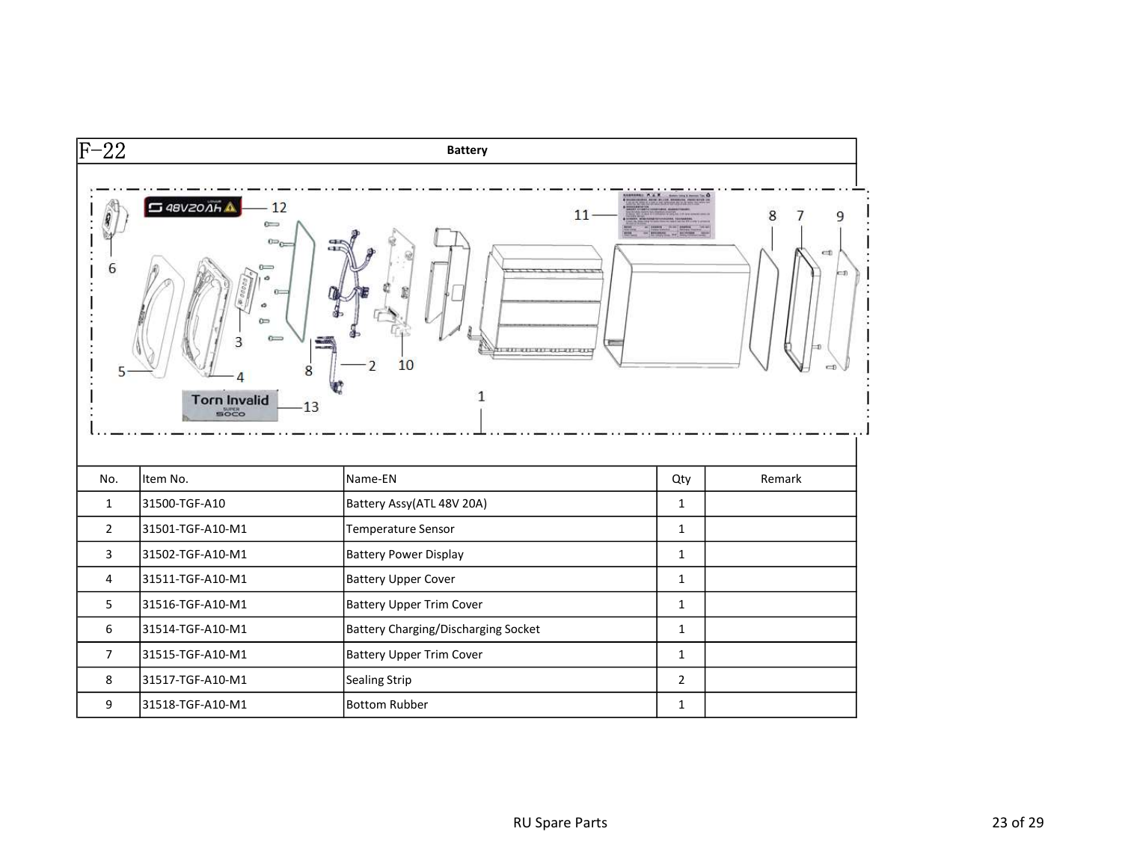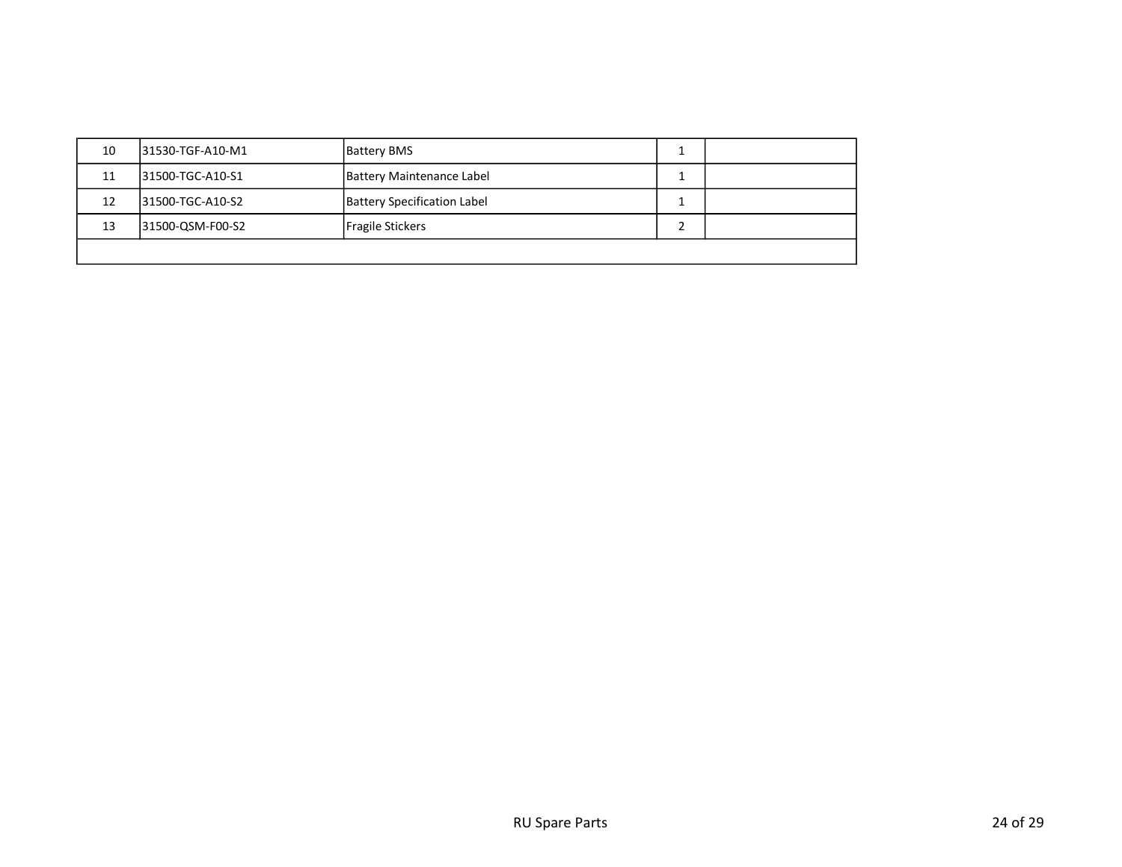| 10 | 131530-TGF-A10-M1 | <b>Battery BMS</b>                 |  |
|----|-------------------|------------------------------------|--|
| 11 | 131500-TGC-A10-S1 | <b>Battery Maintenance Label</b>   |  |
| 12 | 31500-TGC-A10-S2  | <b>Battery Specification Label</b> |  |
| 13 | 31500-QSM-F00-S2  | Fragile Stickers                   |  |
|    |                   |                                    |  |
|    |                   |                                    |  |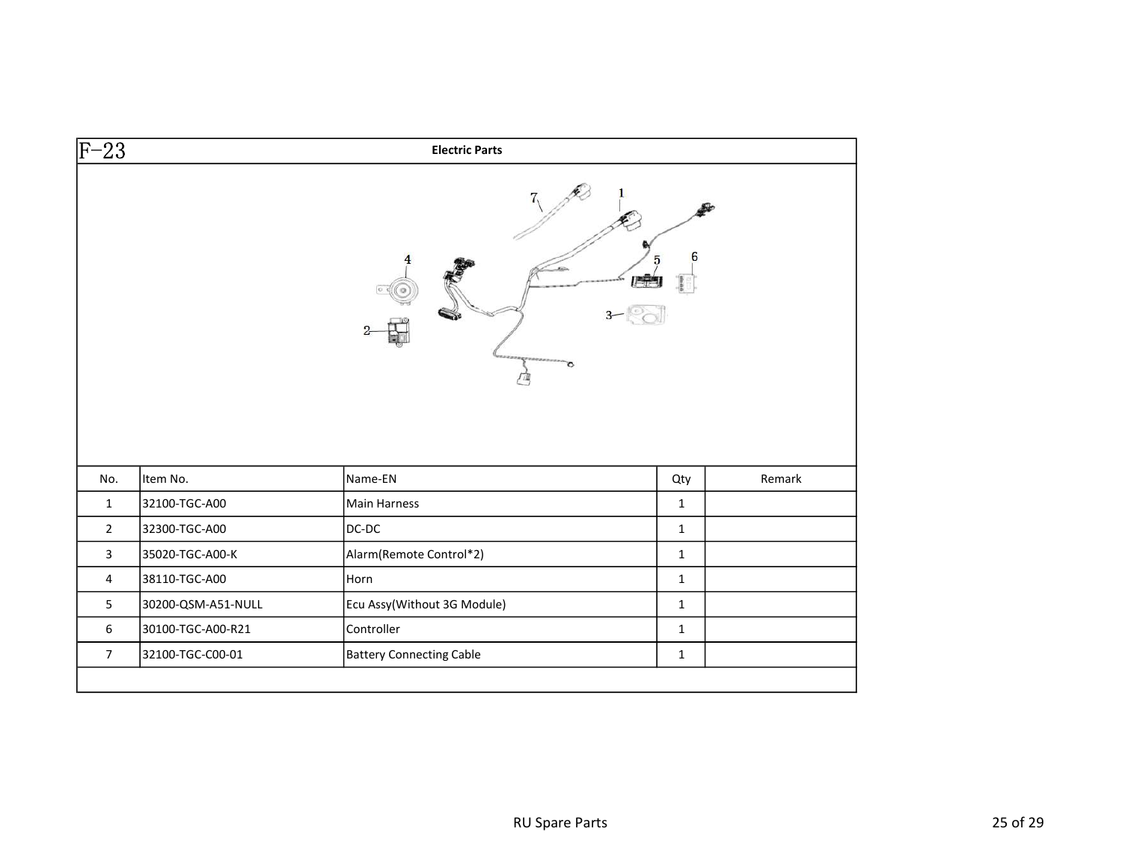| $\overline{F-23}$ |                    | <b>Electric Parts</b>       |              |        |
|-------------------|--------------------|-----------------------------|--------------|--------|
|                   |                    |                             | 6            |        |
|                   |                    |                             |              |        |
| No.               | Item No.           | Name-EN                     | Qty          | Remark |
| $\mathbf{1}$      | 32100-TGC-A00      | Main Harness                | $\mathbf{1}$ |        |
| $2^{\circ}$       | 32300-TGC-A00      | DC-DC                       | $\mathbf{1}$ |        |
| $\mathbf{3}$      | 35020-TGC-A00-K    | Alarm(Remote Control*2)     | $\mathbf{1}$ |        |
| $\overline{4}$    | 38110-TGC-A00      | Horn                        | $\mathbf{1}$ |        |
| 5                 | 30200-QSM-A51-NULL | Ecu Assy(Without 3G Module) | $\mathbf{1}$ |        |
| 6                 | 30100-TGC-A00-R21  | Controller                  | $\mathbf{1}$ |        |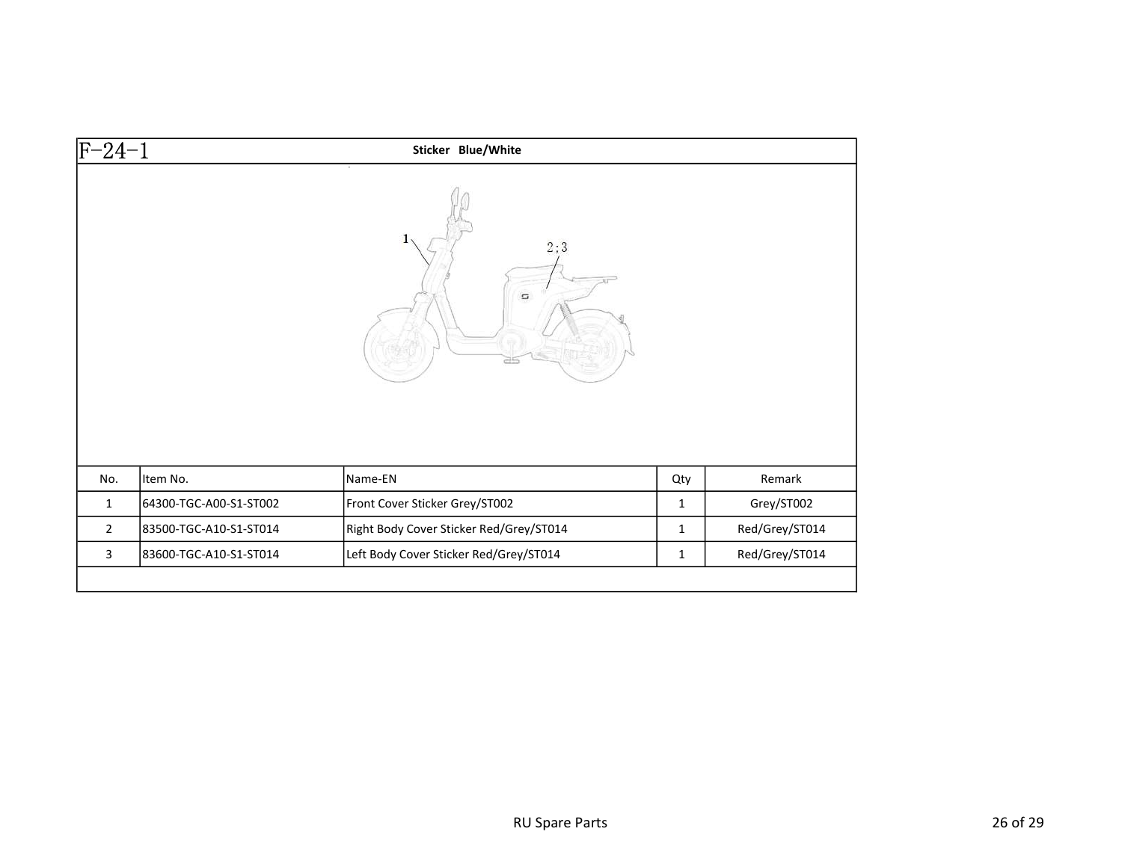| F-24-1         |                        | Sticker Blue/White                      |              |                |
|----------------|------------------------|-----------------------------------------|--------------|----------------|
|                |                        | 2;3<br>$\Box$                           |              |                |
|                |                        |                                         |              |                |
| No.            | Item No.               | Name-EN                                 | Qty          | Remark         |
| $\mathbf{1}$   | 64300-TGC-A00-S1-ST002 | Front Cover Sticker Grey/ST002          | $\mathbf{1}$ | Grey/ST002     |
| $\overline{2}$ | 83500-TGC-A10-S1-ST014 | Right Body Cover Sticker Red/Grey/ST014 | $\mathbf{1}$ | Red/Grey/ST014 |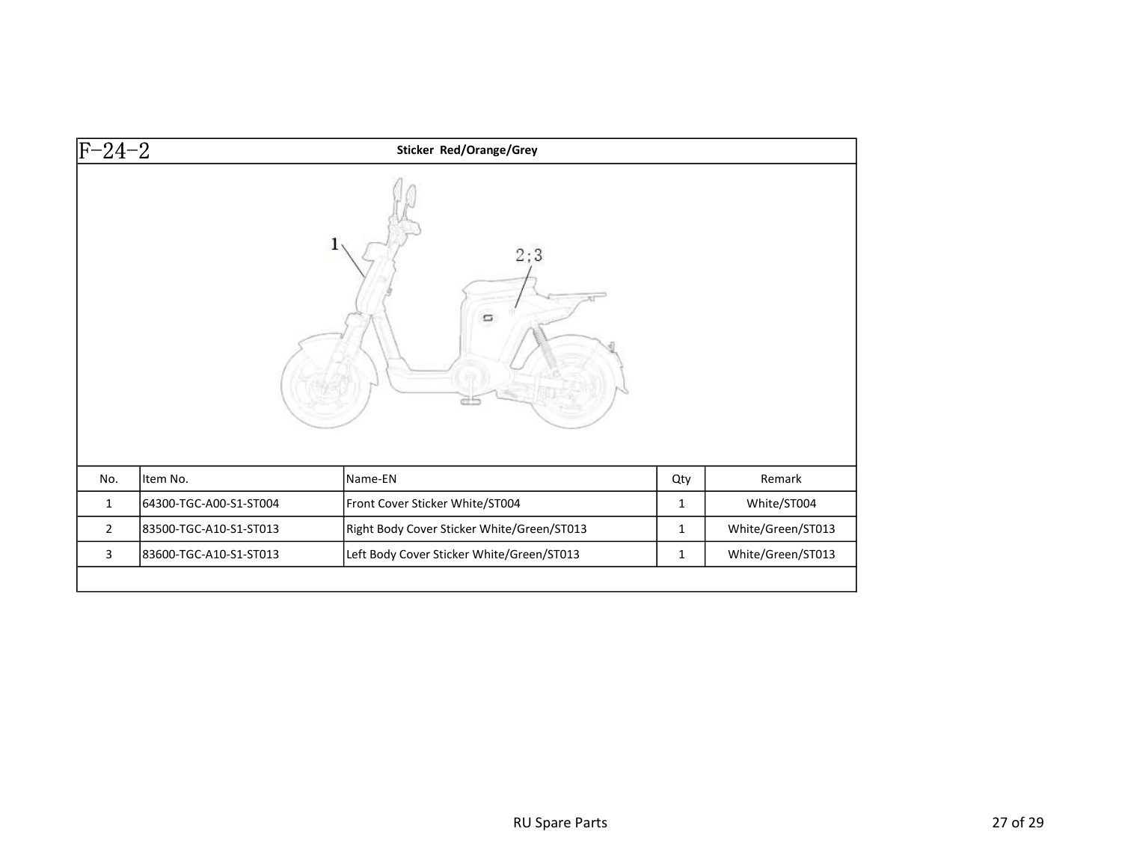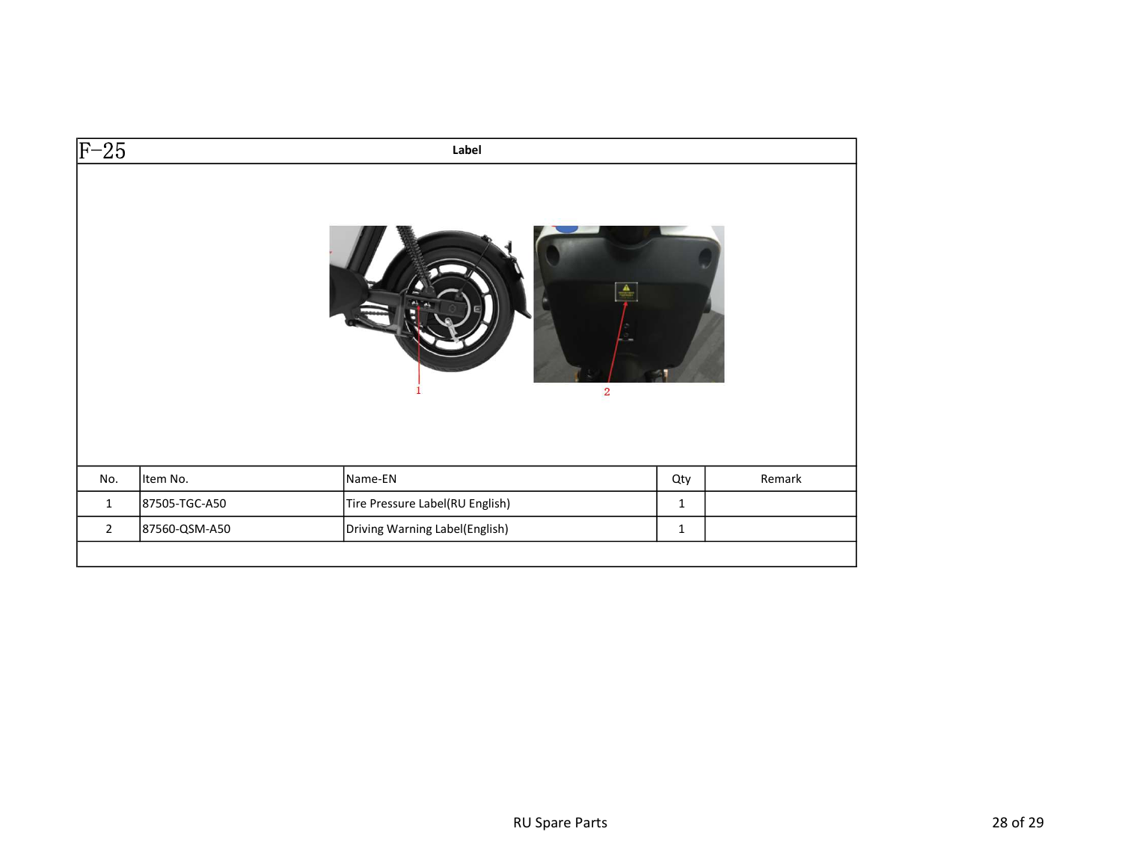| $\overline{c}$                                                                    |        |
|-----------------------------------------------------------------------------------|--------|
|                                                                                   |        |
| Name-EN<br>No.<br>Item No.<br>Qty                                                 | Remark |
| Tire Pressure Label(RU English)<br>87505-TGC-A50<br>$\mathbf{1}$<br>$\mathbf{1}$  |        |
| 87560-QSM-A50<br>Driving Warning Label(English)<br>$\overline{2}$<br>$\mathbf{1}$ |        |